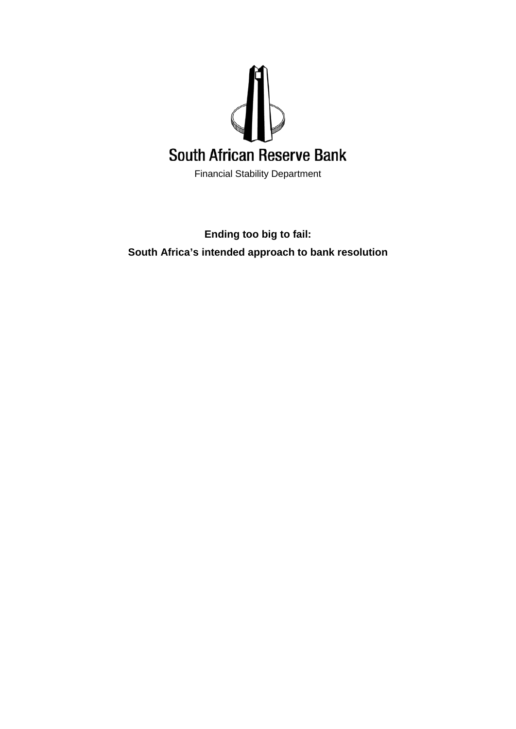

Financial Stability Department

# **Ending too big to fail: South Africa's intended approach to bank resolution**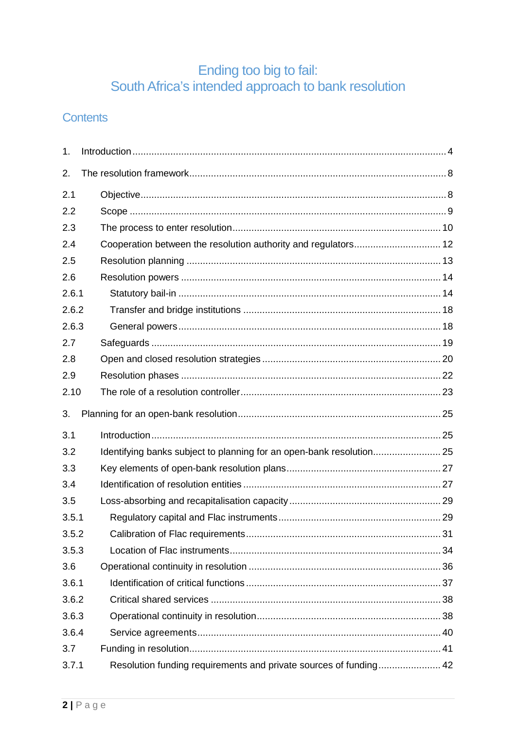# Ending too big to fail:<br>South Africa's intended approach to bank resolution

## **Contents**

| 1.    |                                                                      |  |  |  |
|-------|----------------------------------------------------------------------|--|--|--|
| 2.    |                                                                      |  |  |  |
| 2.1   |                                                                      |  |  |  |
| 2.2   |                                                                      |  |  |  |
| 2.3   |                                                                      |  |  |  |
| 2.4   | Cooperation between the resolution authority and regulators 12       |  |  |  |
| 2.5   |                                                                      |  |  |  |
| 2.6   |                                                                      |  |  |  |
| 2.6.1 |                                                                      |  |  |  |
| 2.6.2 |                                                                      |  |  |  |
| 2.6.3 |                                                                      |  |  |  |
| 2.7   |                                                                      |  |  |  |
| 2.8   |                                                                      |  |  |  |
| 2.9   |                                                                      |  |  |  |
| 2.10  |                                                                      |  |  |  |
| 3.    |                                                                      |  |  |  |
| 3.1   |                                                                      |  |  |  |
| 3.2   | Identifying banks subject to planning for an open-bank resolution 25 |  |  |  |
| 3.3   |                                                                      |  |  |  |
| 3.4   |                                                                      |  |  |  |
| 3.5   |                                                                      |  |  |  |
| 3.5.1 |                                                                      |  |  |  |
| 3.5.2 |                                                                      |  |  |  |
| 3.5.3 |                                                                      |  |  |  |
| 3.6   |                                                                      |  |  |  |
| 3.6.1 |                                                                      |  |  |  |
| 3.6.2 |                                                                      |  |  |  |
| 3.6.3 |                                                                      |  |  |  |
| 3.6.4 |                                                                      |  |  |  |
| 3.7   |                                                                      |  |  |  |
| 3.7.1 | Resolution funding requirements and private sources of funding 42    |  |  |  |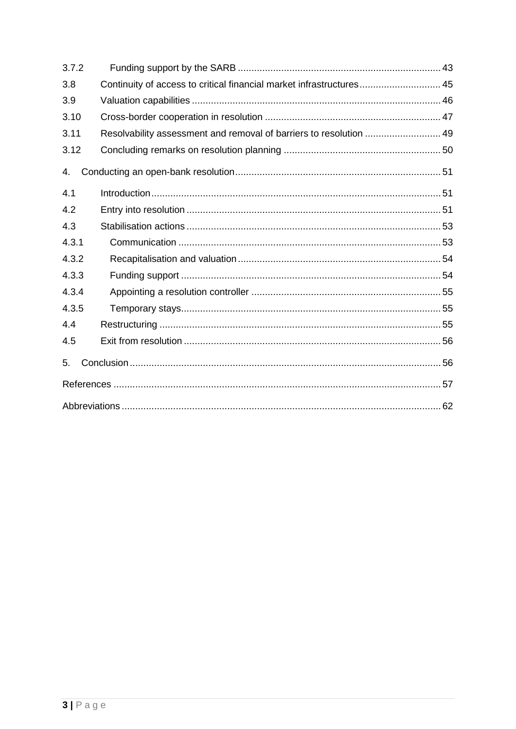| 3.7.2 |                                                                      |  |  |  |
|-------|----------------------------------------------------------------------|--|--|--|
| 3.8   | Continuity of access to critical financial market infrastructures 45 |  |  |  |
| 3.9   |                                                                      |  |  |  |
| 3.10  |                                                                      |  |  |  |
| 3.11  | Resolvability assessment and removal of barriers to resolution  49   |  |  |  |
| 3.12  |                                                                      |  |  |  |
| 4.    |                                                                      |  |  |  |
| 4.1   |                                                                      |  |  |  |
| 4.2   |                                                                      |  |  |  |
| 4.3   |                                                                      |  |  |  |
| 4.3.1 |                                                                      |  |  |  |
| 4.3.2 |                                                                      |  |  |  |
| 4.3.3 |                                                                      |  |  |  |
| 4.3.4 |                                                                      |  |  |  |
| 4.3.5 |                                                                      |  |  |  |
| 4.4   |                                                                      |  |  |  |
| 4.5   |                                                                      |  |  |  |
| 5.    |                                                                      |  |  |  |
|       |                                                                      |  |  |  |
|       |                                                                      |  |  |  |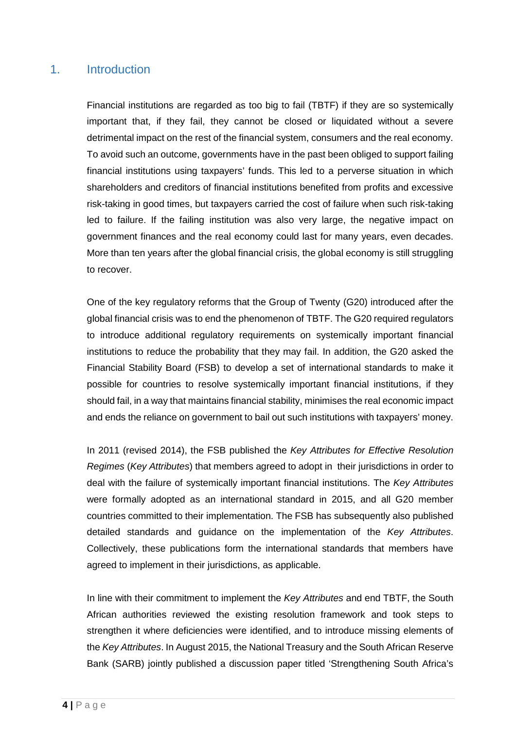## <span id="page-3-0"></span>1. Introduction

Financial institutions are regarded as too big to fail (TBTF) if they are so systemically important that, if they fail, they cannot be closed or liquidated without a severe detrimental impact on the rest of the financial system, consumers and the real economy. To avoid such an outcome, governments have in the past been obliged to support failing financial institutions using taxpayers' funds. This led to a perverse situation in which shareholders and creditors of financial institutions benefited from profits and excessive risk-taking in good times, but taxpayers carried the cost of failure when such risk-taking led to failure. If the failing institution was also very large, the negative impact on government finances and the real economy could last for many years, even decades. More than ten years after the global financial crisis, the global economy is still struggling to recover.

One of the key regulatory reforms that the Group of Twenty (G20) introduced after the global financial crisis was to end the phenomenon of TBTF. The G20 required regulators to introduce additional regulatory requirements on systemically important financial institutions to reduce the probability that they may fail. In addition, the G20 asked the Financial Stability Board (FSB) to develop a set of international standards to make it possible for countries to resolve systemically important financial institutions, if they should fail, in a way that maintains financial stability, minimises the real economic impact and ends the reliance on government to bail out such institutions with taxpayers' money.

In 2011 (revised 2014), the FSB published the *Key Attributes for Effective Resolution Regimes* (*Key Attributes*) that members agreed to adopt in their jurisdictions in order to deal with the failure of systemically important financial institutions. The *Key Attributes* were formally adopted as an international standard in 2015, and all G20 member countries committed to their implementation. The FSB has subsequently also published detailed standards and guidance on the implementation of the *Key Attributes*. Collectively, these publications form the international standards that members have agreed to implement in their jurisdictions, as applicable.

In line with their commitment to implement the *Key Attributes* and end TBTF, the South African authorities reviewed the existing resolution framework and took steps to strengthen it where deficiencies were identified, and to introduce missing elements of the *Key Attributes*. In August 2015, the National Treasury and the South African Reserve Bank (SARB) jointly published a discussion paper titled 'Strengthening South Africa's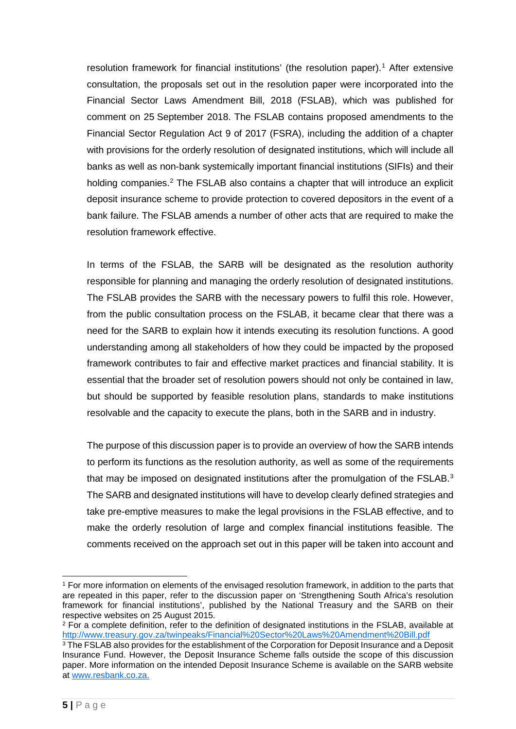resolution framework for financial institutions' (the resolution paper).[1](#page-4-0) After extensive consultation, the proposals set out in the resolution paper were incorporated into the Financial Sector Laws Amendment Bill, 2018 (FSLAB), which was published for comment on 25 September 2018. The FSLAB contains proposed amendments to the Financial Sector Regulation Act 9 of 2017 (FSRA), including the addition of a chapter with provisions for the orderly resolution of designated institutions, which will include all banks as well as non-bank systemically important financial institutions (SIFIs) and their holding companies.<sup>[2](#page-4-1)</sup> The FSLAB also contains a chapter that will introduce an explicit deposit insurance scheme to provide protection to covered depositors in the event of a bank failure. The FSLAB amends a number of other acts that are required to make the resolution framework effective.

In terms of the FSLAB, the SARB will be designated as the resolution authority responsible for planning and managing the orderly resolution of designated institutions. The FSLAB provides the SARB with the necessary powers to fulfil this role. However, from the public consultation process on the FSLAB, it became clear that there was a need for the SARB to explain how it intends executing its resolution functions. A good understanding among all stakeholders of how they could be impacted by the proposed framework contributes to fair and effective market practices and financial stability. It is essential that the broader set of resolution powers should not only be contained in law, but should be supported by feasible resolution plans, standards to make institutions resolvable and the capacity to execute the plans, both in the SARB and in industry.

The purpose of this discussion paper is to provide an overview of how the SARB intends to perform its functions as the resolution authority, as well as some of the requirements that may be imposed on designated institutions after the promulgation of the FSLAB.<sup>[3](#page-4-2)</sup> The SARB and designated institutions will have to develop clearly defined strategies and take pre-emptive measures to make the legal provisions in the FSLAB effective, and to make the orderly resolution of large and complex financial institutions feasible. The comments received on the approach set out in this paper will be taken into account and

<span id="page-4-0"></span> <sup>1</sup> For more information on elements of the envisaged resolution framework, in addition to the parts that are repeated in this paper, refer to the discussion paper on 'Strengthening South Africa's resolution framework for financial institutions', published by the National Treasury and the SARB on their respective websites on 25 August 2015.

<span id="page-4-1"></span><sup>&</sup>lt;sup>2</sup> For a complete definition, refer to the definition of designated institutions in the FSLAB, available at <http://www.treasury.gov.za/twinpeaks/Financial%20Sector%20Laws%20Amendment%20Bill.pdf>

<span id="page-4-2"></span> $3$  The FSLAB also provides for the establishment of the Corporation for Deposit Insurance and a Deposit Insurance Fund. However, the Deposit Insurance Scheme falls outside the scope of this discussion paper. More information on the intended Deposit Insurance Scheme is available on the SARB website at [www.resbank.co.za.](http://www.resbank.co.za/)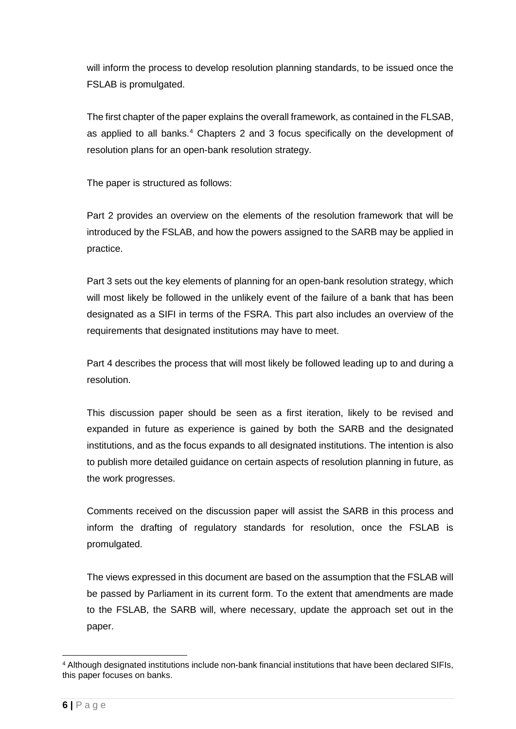will inform the process to develop resolution planning standards, to be issued once the FSLAB is promulgated.

The first chapter of the paper explains the overall framework, as contained in the FLSAB, as applied to all banks.<sup>[4](#page-5-0)</sup> Chapters 2 and 3 focus specifically on the development of resolution plans for an open-bank resolution strategy.

The paper is structured as follows:

Part 2 provides an overview on the elements of the resolution framework that will be introduced by the FSLAB, and how the powers assigned to the SARB may be applied in practice.

Part 3 sets out the key elements of planning for an open-bank resolution strategy, which will most likely be followed in the unlikely event of the failure of a bank that has been designated as a SIFI in terms of the FSRA. This part also includes an overview of the requirements that designated institutions may have to meet.

Part 4 describes the process that will most likely be followed leading up to and during a resolution.

This discussion paper should be seen as a first iteration, likely to be revised and expanded in future as experience is gained by both the SARB and the designated institutions, and as the focus expands to all designated institutions. The intention is also to publish more detailed guidance on certain aspects of resolution planning in future, as the work progresses.

Comments received on the discussion paper will assist the SARB in this process and inform the drafting of regulatory standards for resolution, once the FSLAB is promulgated.

The views expressed in this document are based on the assumption that the FSLAB will be passed by Parliament in its current form. To the extent that amendments are made to the FSLAB, the SARB will, where necessary, update the approach set out in the paper.

<span id="page-5-0"></span> <sup>4</sup> Although designated institutions include non-bank financial institutions that have been declared SIFIs, this paper focuses on banks.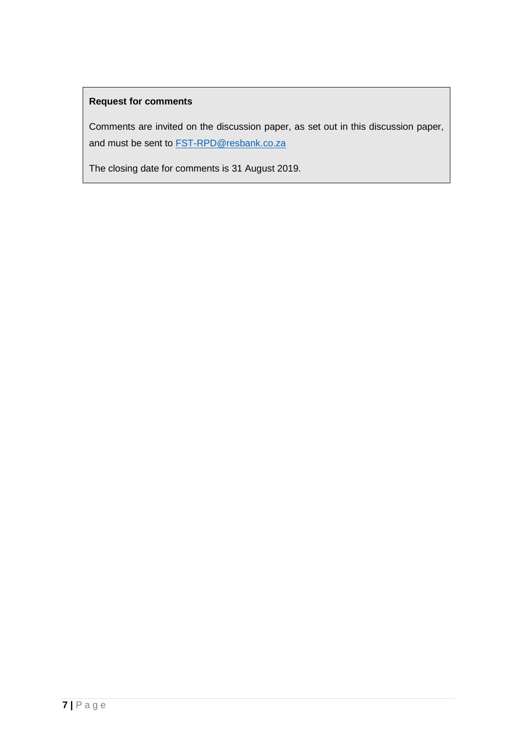## **Request for comments**

Comments are invited on the discussion paper, as set out in this discussion paper, and must be sent to **FST-RPD@resbank.co.za** 

The closing date for comments is 31 August 2019.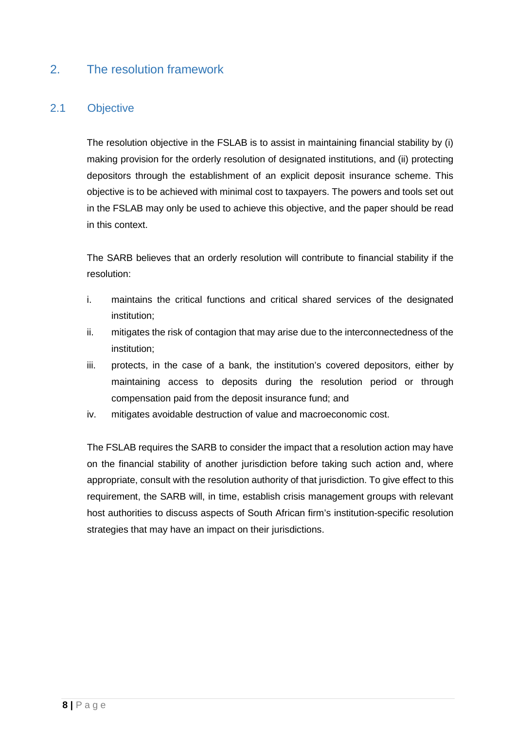## <span id="page-7-0"></span>2. The resolution framework

## <span id="page-7-1"></span>2.1 Objective

The resolution objective in the FSLAB is to assist in maintaining financial stability by (i) making provision for the orderly resolution of designated institutions, and (ii) protecting depositors through the establishment of an explicit deposit insurance scheme. This objective is to be achieved with minimal cost to taxpayers. The powers and tools set out in the FSLAB may only be used to achieve this objective, and the paper should be read in this context.

The SARB believes that an orderly resolution will contribute to financial stability if the resolution:

- i. maintains the critical functions and critical shared services of the designated institution;
- ii. mitigates the risk of contagion that may arise due to the interconnectedness of the institution;
- iii. protects, in the case of a bank, the institution's covered depositors, either by maintaining access to deposits during the resolution period or through compensation paid from the deposit insurance fund; and
- iv. mitigates avoidable destruction of value and macroeconomic cost.

The FSLAB requires the SARB to consider the impact that a resolution action may have on the financial stability of another jurisdiction before taking such action and, where appropriate, consult with the resolution authority of that jurisdiction. To give effect to this requirement, the SARB will, in time, establish crisis management groups with relevant host authorities to discuss aspects of South African firm's institution-specific resolution strategies that may have an impact on their jurisdictions.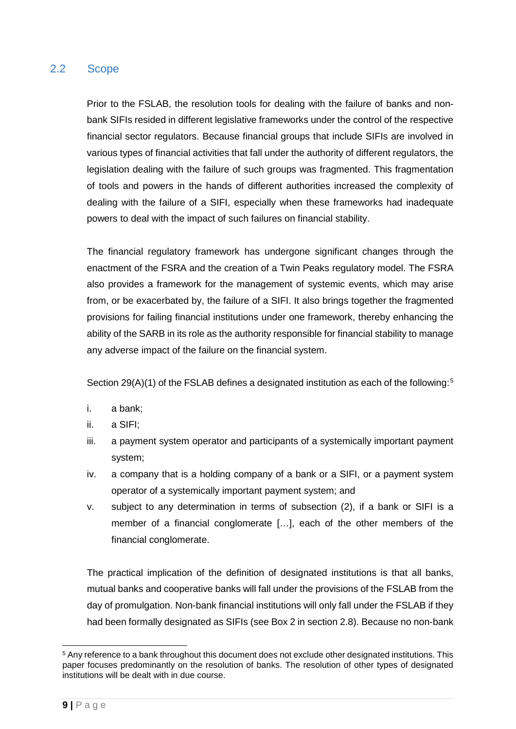## <span id="page-8-0"></span>2.2 Scope

Prior to the FSLAB, the resolution tools for dealing with the failure of banks and nonbank SIFIs resided in different legislative frameworks under the control of the respective financial sector regulators. Because financial groups that include SIFIs are involved in various types of financial activities that fall under the authority of different regulators, the legislation dealing with the failure of such groups was fragmented. This fragmentation of tools and powers in the hands of different authorities increased the complexity of dealing with the failure of a SIFI, especially when these frameworks had inadequate powers to deal with the impact of such failures on financial stability.

The financial regulatory framework has undergone significant changes through the enactment of the FSRA and the creation of a Twin Peaks regulatory model. The FSRA also provides a framework for the management of systemic events, which may arise from, or be exacerbated by, the failure of a SIFI. It also brings together the fragmented provisions for failing financial institutions under one framework, thereby enhancing the ability of the SARB in its role as the authority responsible for financial stability to manage any adverse impact of the failure on the financial system.

Section 29(A)(1) of the FSLAB defines a designated institution as each of the following:<sup>[5](#page-8-1)</sup>

- i. a bank;
- ii. a SIFI;
- iii. a payment system operator and participants of a systemically important payment system;
- iv. a company that is a holding company of a bank or a SIFI, or a payment system operator of a systemically important payment system; and
- v. subject to any determination in terms of subsection (2), if a bank or SIFI is a member of a financial conglomerate […], each of the other members of the financial conglomerate.

The practical implication of the definition of designated institutions is that all banks, mutual banks and cooperative banks will fall under the provisions of the FSLAB from the day of promulgation. Non-bank financial institutions will only fall under the FSLAB if they had been formally designated as SIFIs (see Box 2 in section 2.8). Because no non-bank

<span id="page-8-1"></span> <sup>5</sup> Any reference to a bank throughout this document does not exclude other designated institutions. This paper focuses predominantly on the resolution of banks. The resolution of other types of designated institutions will be dealt with in due course.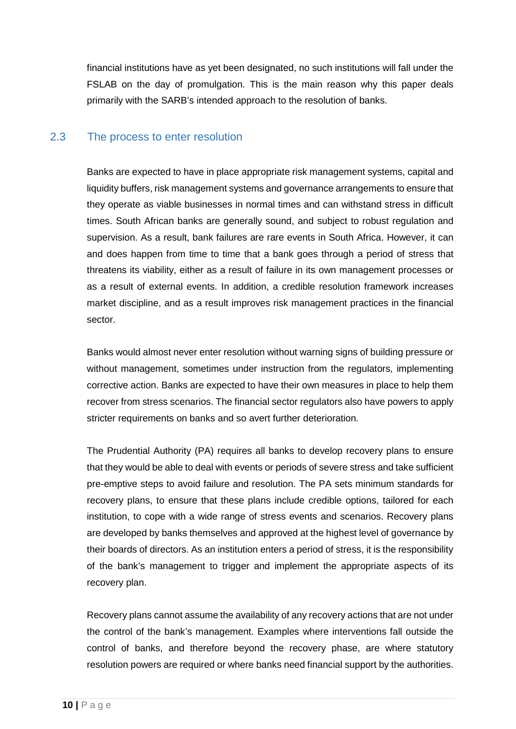financial institutions have as yet been designated, no such institutions will fall under the FSLAB on the day of promulgation. This is the main reason why this paper deals primarily with the SARB's intended approach to the resolution of banks.

## <span id="page-9-0"></span>2.3 The process to enter resolution

Banks are expected to have in place appropriate risk management systems, capital and liquidity buffers, risk management systems and governance arrangements to ensure that they operate as viable businesses in normal times and can withstand stress in difficult times. South African banks are generally sound, and subject to robust regulation and supervision. As a result, bank failures are rare events in South Africa. However, it can and does happen from time to time that a bank goes through a period of stress that threatens its viability, either as a result of failure in its own management processes or as a result of external events. In addition, a credible resolution framework increases market discipline, and as a result improves risk management practices in the financial sector.

Banks would almost never enter resolution without warning signs of building pressure or without management, sometimes under instruction from the regulators, implementing corrective action. Banks are expected to have their own measures in place to help them recover from stress scenarios. The financial sector regulators also have powers to apply stricter requirements on banks and so avert further deterioration.

The Prudential Authority (PA) requires all banks to develop recovery plans to ensure that they would be able to deal with events or periods of severe stress and take sufficient pre-emptive steps to avoid failure and resolution. The PA sets minimum standards for recovery plans, to ensure that these plans include credible options, tailored for each institution, to cope with a wide range of stress events and scenarios. Recovery plans are developed by banks themselves and approved at the highest level of governance by their boards of directors. As an institution enters a period of stress, it is the responsibility of the bank's management to trigger and implement the appropriate aspects of its recovery plan.

Recovery plans cannot assume the availability of any recovery actions that are not under the control of the bank's management. Examples where interventions fall outside the control of banks, and therefore beyond the recovery phase, are where statutory resolution powers are required or where banks need financial support by the authorities.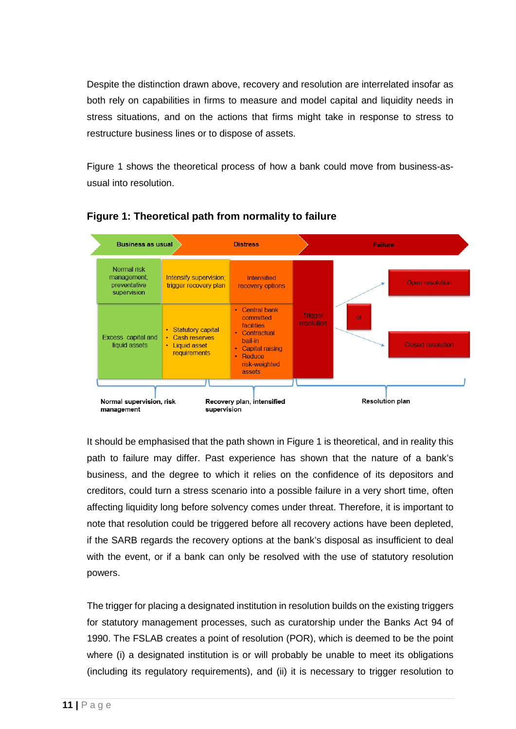Despite the distinction drawn above, recovery and resolution are interrelated insofar as both rely on capabilities in firms to measure and model capital and liquidity needs in stress situations, and on the actions that firms might take in response to stress to restructure business lines or to dispose of assets.

Figure 1 shows the theoretical process of how a bank could move from business-asusual into resolution.



**Figure 1: Theoretical path from normality to failure**

It should be emphasised that the path shown in Figure 1 is theoretical, and in reality this path to failure may differ. Past experience has shown that the nature of a bank's business, and the degree to which it relies on the confidence of its depositors and creditors, could turn a stress scenario into a possible failure in a very short time, often affecting liquidity long before solvency comes under threat. Therefore, it is important to note that resolution could be triggered before all recovery actions have been depleted, if the SARB regards the recovery options at the bank's disposal as insufficient to deal with the event, or if a bank can only be resolved with the use of statutory resolution powers.

The trigger for placing a designated institution in resolution builds on the existing triggers for statutory management processes, such as curatorship under the Banks Act 94 of 1990. The FSLAB creates a point of resolution (POR), which is deemed to be the point where (i) a designated institution is or will probably be unable to meet its obligations (including its regulatory requirements), and (ii) it is necessary to trigger resolution to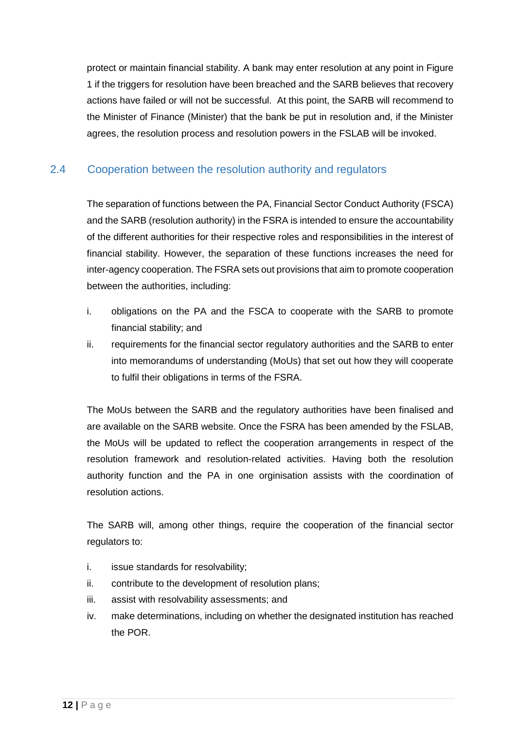protect or maintain financial stability. A bank may enter resolution at any point in Figure 1 if the triggers for resolution have been breached and the SARB believes that recovery actions have failed or will not be successful. At this point, the SARB will recommend to the Minister of Finance (Minister) that the bank be put in resolution and, if the Minister agrees, the resolution process and resolution powers in the FSLAB will be invoked.

## <span id="page-11-0"></span>2.4 Cooperation between the resolution authority and regulators

The separation of functions between the PA, Financial Sector Conduct Authority (FSCA) and the SARB (resolution authority) in the FSRA is intended to ensure the accountability of the different authorities for their respective roles and responsibilities in the interest of financial stability. However, the separation of these functions increases the need for inter-agency cooperation. The FSRA sets out provisions that aim to promote cooperation between the authorities, including:

- i. obligations on the PA and the FSCA to cooperate with the SARB to promote financial stability; and
- ii. requirements for the financial sector regulatory authorities and the SARB to enter into memorandums of understanding (MoUs) that set out how they will cooperate to fulfil their obligations in terms of the FSRA.

The MoUs between the SARB and the regulatory authorities have been finalised and are available on the SARB website. Once the FSRA has been amended by the FSLAB, the MoUs will be updated to reflect the cooperation arrangements in respect of the resolution framework and resolution-related activities. Having both the resolution authority function and the PA in one orginisation assists with the coordination of resolution actions.

The SARB will, among other things, require the cooperation of the financial sector regulators to:

- i. issue standards for resolvability;
- ii. contribute to the development of resolution plans;
- iii. assist with resolvability assessments; and
- iv. make determinations, including on whether the designated institution has reached the POR.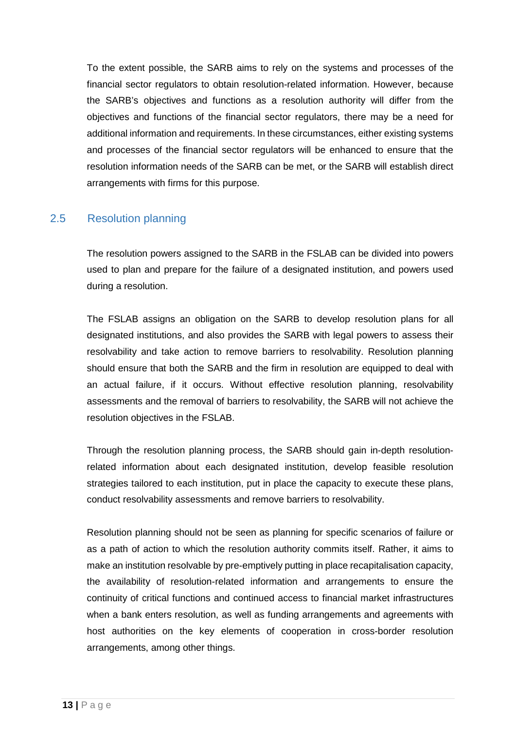To the extent possible, the SARB aims to rely on the systems and processes of the financial sector regulators to obtain resolution-related information. However, because the SARB's objectives and functions as a resolution authority will differ from the objectives and functions of the financial sector regulators, there may be a need for additional information and requirements. In these circumstances, either existing systems and processes of the financial sector regulators will be enhanced to ensure that the resolution information needs of the SARB can be met, or the SARB will establish direct arrangements with firms for this purpose.

## <span id="page-12-0"></span>2.5 Resolution planning

The resolution powers assigned to the SARB in the FSLAB can be divided into powers used to plan and prepare for the failure of a designated institution, and powers used during a resolution.

The FSLAB assigns an obligation on the SARB to develop resolution plans for all designated institutions, and also provides the SARB with legal powers to assess their resolvability and take action to remove barriers to resolvability. Resolution planning should ensure that both the SARB and the firm in resolution are equipped to deal with an actual failure, if it occurs. Without effective resolution planning, resolvability assessments and the removal of barriers to resolvability, the SARB will not achieve the resolution objectives in the FSLAB.

Through the resolution planning process, the SARB should gain in-depth resolutionrelated information about each designated institution, develop feasible resolution strategies tailored to each institution, put in place the capacity to execute these plans, conduct resolvability assessments and remove barriers to resolvability.

Resolution planning should not be seen as planning for specific scenarios of failure or as a path of action to which the resolution authority commits itself. Rather, it aims to make an institution resolvable by pre-emptively putting in place recapitalisation capacity, the availability of resolution-related information and arrangements to ensure the continuity of critical functions and continued access to financial market infrastructures when a bank enters resolution, as well as funding arrangements and agreements with host authorities on the key elements of cooperation in cross-border resolution arrangements, among other things.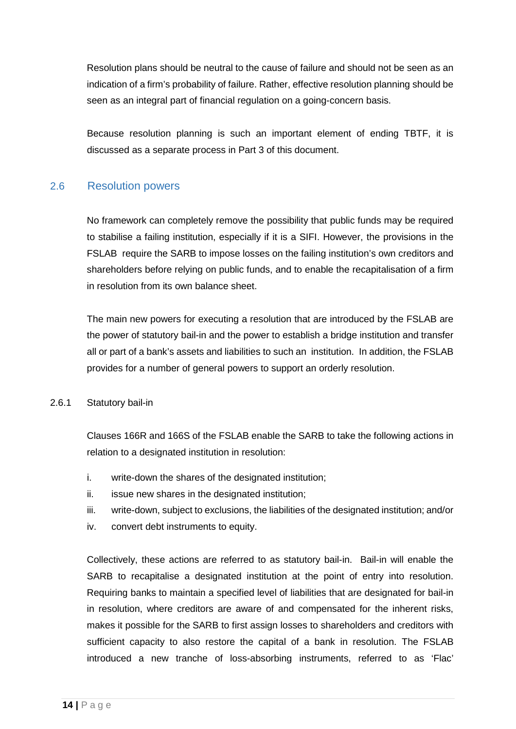Resolution plans should be neutral to the cause of failure and should not be seen as an indication of a firm's probability of failure. Rather, effective resolution planning should be seen as an integral part of financial regulation on a going-concern basis.

Because resolution planning is such an important element of ending TBTF, it is discussed as a separate process in Part 3 of this document.

## <span id="page-13-0"></span>2.6 Resolution powers

No framework can completely remove the possibility that public funds may be required to stabilise a failing institution, especially if it is a SIFI. However, the provisions in the FSLAB require the SARB to impose losses on the failing institution's own creditors and shareholders before relying on public funds, and to enable the recapitalisation of a firm in resolution from its own balance sheet.

The main new powers for executing a resolution that are introduced by the FSLAB are the power of statutory bail-in and the power to establish a bridge institution and transfer all or part of a bank's assets and liabilities to such an institution. In addition, the FSLAB provides for a number of general powers to support an orderly resolution.

#### <span id="page-13-1"></span>2.6.1 Statutory bail-in

Clauses 166R and 166S of the FSLAB enable the SARB to take the following actions in relation to a designated institution in resolution:

- i. write-down the shares of the designated institution;
- ii. issue new shares in the designated institution;
- iii. write-down, subject to exclusions, the liabilities of the designated institution; and/or
- iv. convert debt instruments to equity.

Collectively, these actions are referred to as statutory bail-in. Bail-in will enable the SARB to recapitalise a designated institution at the point of entry into resolution. Requiring banks to maintain a specified level of liabilities that are designated for bail-in in resolution, where creditors are aware of and compensated for the inherent risks, makes it possible for the SARB to first assign losses to shareholders and creditors with sufficient capacity to also restore the capital of a bank in resolution. The FSLAB introduced a new tranche of loss-absorbing instruments, referred to as 'Flac'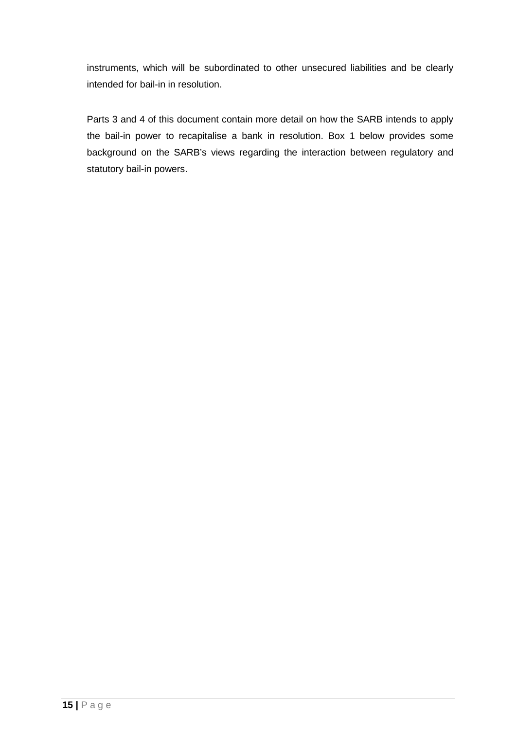instruments, which will be subordinated to other unsecured liabilities and be clearly intended for bail-in in resolution.

Parts 3 and 4 of this document contain more detail on how the SARB intends to apply the bail-in power to recapitalise a bank in resolution. Box 1 below provides some background on the SARB's views regarding the interaction between regulatory and statutory bail-in powers.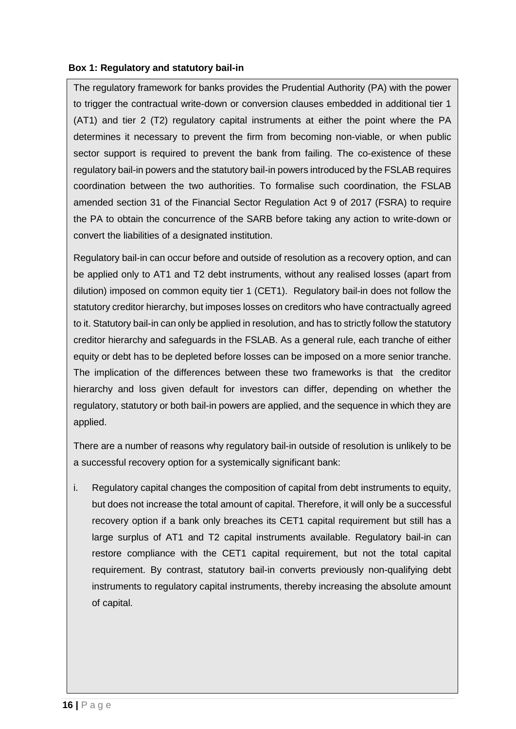#### **Box 1: Regulatory and statutory bail-in**

The regulatory framework for banks provides the Prudential Authority (PA) with the power to trigger the contractual write-down or conversion clauses embedded in additional tier 1 (AT1) and tier 2 (T2) regulatory capital instruments at either the point where the PA determines it necessary to prevent the firm from becoming non-viable, or when public sector support is required to prevent the bank from failing. The co-existence of these regulatory bail-in powers and the statutory bail-in powers introduced by the FSLAB requires coordination between the two authorities. To formalise such coordination, the FSLAB amended section 31 of the Financial Sector Regulation Act 9 of 2017 (FSRA) to require the PA to obtain the concurrence of the SARB before taking any action to write-down or convert the liabilities of a designated institution.

Regulatory bail-in can occur before and outside of resolution as a recovery option, and can be applied only to AT1 and T2 debt instruments, without any realised losses (apart from dilution) imposed on common equity tier 1 (CET1). Regulatory bail-in does not follow the statutory creditor hierarchy, but imposes losses on creditors who have contractually agreed to it. Statutory bail-in can only be applied in resolution, and has to strictly follow the statutory creditor hierarchy and safeguards in the FSLAB. As a general rule, each tranche of either equity or debt has to be depleted before losses can be imposed on a more senior tranche. The implication of the differences between these two frameworks is that the creditor hierarchy and loss given default for investors can differ, depending on whether the regulatory, statutory or both bail-in powers are applied, and the sequence in which they are applied.

There are a number of reasons why regulatory bail-in outside of resolution is unlikely to be a successful recovery option for a systemically significant bank:

i. Regulatory capital changes the composition of capital from debt instruments to equity, but does not increase the total amount of capital. Therefore, it will only be a successful recovery option if a bank only breaches its CET1 capital requirement but still has a large surplus of AT1 and T2 capital instruments available. Regulatory bail-in can restore compliance with the CET1 capital requirement, but not the total capital requirement. By contrast, statutory bail-in converts previously non-qualifying debt instruments to regulatory capital instruments, thereby increasing the absolute amount of capital.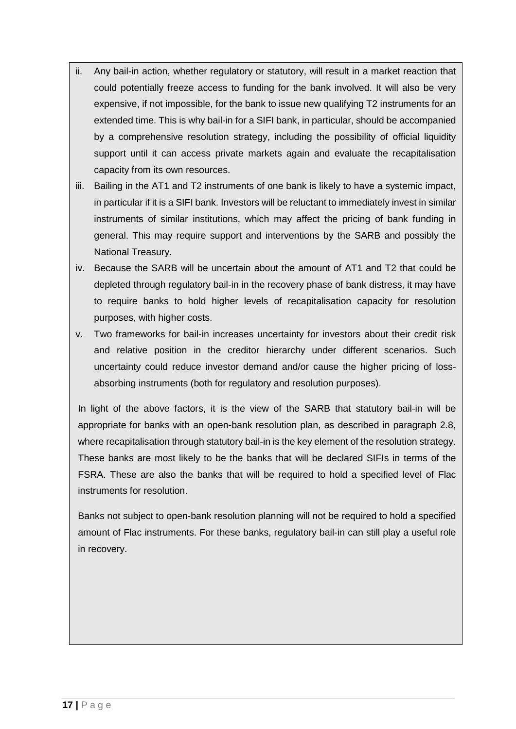- ii. Any bail-in action, whether regulatory or statutory, will result in a market reaction that could potentially freeze access to funding for the bank involved. It will also be very expensive, if not impossible, for the bank to issue new qualifying T2 instruments for an extended time. This is why bail-in for a SIFI bank, in particular, should be accompanied by a comprehensive resolution strategy, including the possibility of official liquidity support until it can access private markets again and evaluate the recapitalisation capacity from its own resources.
- iii. Bailing in the AT1 and T2 instruments of one bank is likely to have a systemic impact, in particular if it is a SIFI bank. Investors will be reluctant to immediately invest in similar instruments of similar institutions, which may affect the pricing of bank funding in general. This may require support and interventions by the SARB and possibly the National Treasury.
- iv. Because the SARB will be uncertain about the amount of AT1 and T2 that could be depleted through regulatory bail-in in the recovery phase of bank distress, it may have to require banks to hold higher levels of recapitalisation capacity for resolution purposes, with higher costs.
- v. Two frameworks for bail-in increases uncertainty for investors about their credit risk and relative position in the creditor hierarchy under different scenarios. Such uncertainty could reduce investor demand and/or cause the higher pricing of lossabsorbing instruments (both for regulatory and resolution purposes).

In light of the above factors, it is the view of the SARB that statutory bail-in will be appropriate for banks with an open-bank resolution plan, as described in paragraph 2.8, where recapitalisation through statutory bail-in is the key element of the resolution strategy. These banks are most likely to be the banks that will be declared SIFIs in terms of the FSRA. These are also the banks that will be required to hold a specified level of Flac instruments for resolution.

Banks not subject to open-bank resolution planning will not be required to hold a specified amount of Flac instruments. For these banks, regulatory bail-in can still play a useful role in recovery.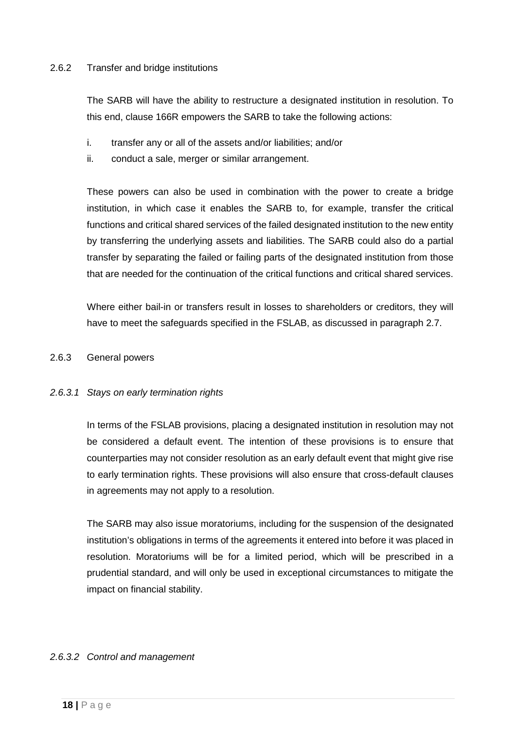#### <span id="page-17-0"></span>2.6.2 Transfer and bridge institutions

The SARB will have the ability to restructure a designated institution in resolution. To this end, clause 166R empowers the SARB to take the following actions:

- i. transfer any or all of the assets and/or liabilities; and/or
- ii. conduct a sale, merger or similar arrangement.

These powers can also be used in combination with the power to create a bridge institution, in which case it enables the SARB to, for example, transfer the critical functions and critical shared services of the failed designated institution to the new entity by transferring the underlying assets and liabilities. The SARB could also do a partial transfer by separating the failed or failing parts of the designated institution from those that are needed for the continuation of the critical functions and critical shared services.

Where either bail-in or transfers result in losses to shareholders or creditors, they will have to meet the safeguards specified in the FSLAB, as discussed in paragraph 2.7.

#### <span id="page-17-1"></span>2.6.3 General powers

#### *2.6.3.1 Stays on early termination rights*

In terms of the FSLAB provisions, placing a designated institution in resolution may not be considered a default event. The intention of these provisions is to ensure that counterparties may not consider resolution as an early default event that might give rise to early termination rights. These provisions will also ensure that cross-default clauses in agreements may not apply to a resolution.

The SARB may also issue moratoriums, including for the suspension of the designated institution's obligations in terms of the agreements it entered into before it was placed in resolution. Moratoriums will be for a limited period, which will be prescribed in a prudential standard, and will only be used in exceptional circumstances to mitigate the impact on financial stability.

#### *2.6.3.2 Control and management*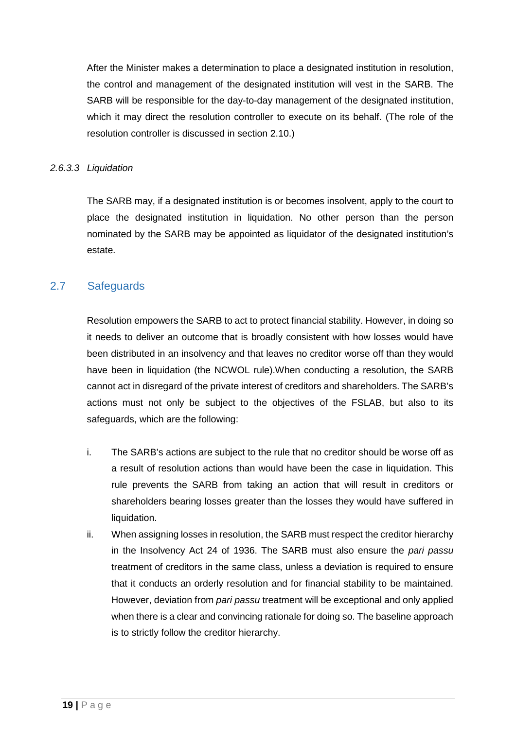After the Minister makes a determination to place a designated institution in resolution, the control and management of the designated institution will vest in the SARB. The SARB will be responsible for the day-to-day management of the designated institution, which it may direct the resolution controller to execute on its behalf. (The role of the resolution controller is discussed in section 2.10.)

#### *2.6.3.3 Liquidation*

The SARB may, if a designated institution is or becomes insolvent, apply to the court to place the designated institution in liquidation. No other person than the person nominated by the SARB may be appointed as liquidator of the designated institution's estate.

## <span id="page-18-0"></span>2.7 Safeguards

Resolution empowers the SARB to act to protect financial stability. However, in doing so it needs to deliver an outcome that is broadly consistent with how losses would have been distributed in an insolvency and that leaves no creditor worse off than they would have been in liquidation (the NCWOL rule).When conducting a resolution, the SARB cannot act in disregard of the private interest of creditors and shareholders. The SARB's actions must not only be subject to the objectives of the FSLAB, but also to its safeguards, which are the following:

- i. The SARB's actions are subject to the rule that no creditor should be worse off as a result of resolution actions than would have been the case in liquidation. This rule prevents the SARB from taking an action that will result in creditors or shareholders bearing losses greater than the losses they would have suffered in liquidation.
- ii. When assigning losses in resolution, the SARB must respect the creditor hierarchy in the Insolvency Act 24 of 1936. The SARB must also ensure the *pari passu* treatment of creditors in the same class, unless a deviation is required to ensure that it conducts an orderly resolution and for financial stability to be maintained. However, deviation from *pari passu* treatment will be exceptional and only applied when there is a clear and convincing rationale for doing so. The baseline approach is to strictly follow the creditor hierarchy.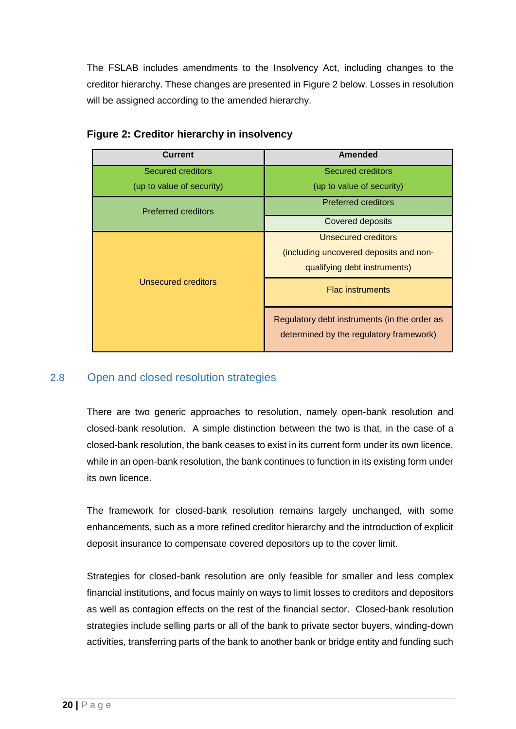The FSLAB includes amendments to the Insolvency Act, including changes to the creditor hierarchy. These changes are presented in Figure 2 below. Losses in resolution will be assigned according to the amended hierarchy.

| <b>Current</b>             | Amended                                                                                 |
|----------------------------|-----------------------------------------------------------------------------------------|
| <b>Secured creditors</b>   | Secured creditors                                                                       |
| (up to value of security)  | (up to value of security)                                                               |
| Preferred creditors        | <b>Preferred creditors</b>                                                              |
|                            | Covered deposits                                                                        |
|                            | Unsecured creditors                                                                     |
|                            | (including uncovered deposits and non-                                                  |
|                            | qualifying debt instruments)                                                            |
| <b>Unsecured creditors</b> | <b>Flac instruments</b>                                                                 |
|                            | Regulatory debt instruments (in the order as<br>determined by the regulatory framework) |

#### **Figure 2: Creditor hierarchy in insolvency**

## <span id="page-19-0"></span>2.8 Open and closed resolution strategies

There are two generic approaches to resolution, namely open-bank resolution and closed-bank resolution. A simple distinction between the two is that, in the case of a closed-bank resolution, the bank ceases to exist in its current form under its own licence, while in an open-bank resolution, the bank continues to function in its existing form under its own licence.

The framework for closed-bank resolution remains largely unchanged, with some enhancements, such as a more refined creditor hierarchy and the introduction of explicit deposit insurance to compensate covered depositors up to the cover limit.

Strategies for closed-bank resolution are only feasible for smaller and less complex financial institutions, and focus mainly on ways to limit losses to creditors and depositors as well as contagion effects on the rest of the financial sector. Closed-bank resolution strategies include selling parts or all of the bank to private sector buyers, winding-down activities, transferring parts of the bank to another bank or bridge entity and funding such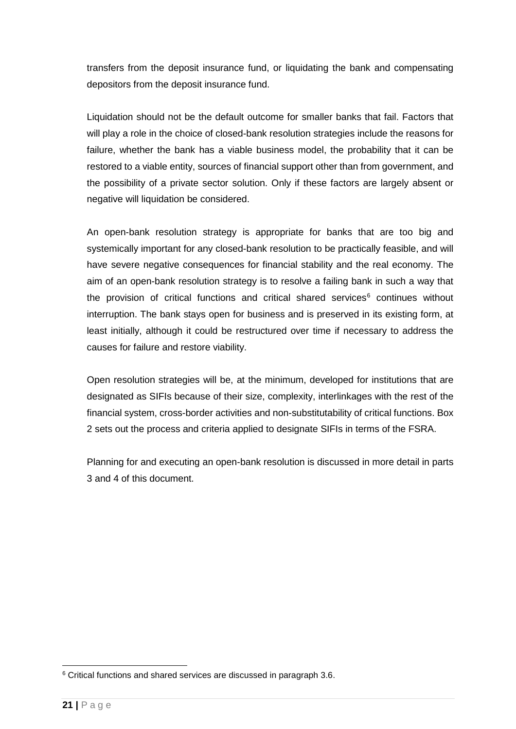transfers from the deposit insurance fund, or liquidating the bank and compensating depositors from the deposit insurance fund.

Liquidation should not be the default outcome for smaller banks that fail. Factors that will play a role in the choice of closed-bank resolution strategies include the reasons for failure, whether the bank has a viable business model, the probability that it can be restored to a viable entity, sources of financial support other than from government, and the possibility of a private sector solution. Only if these factors are largely absent or negative will liquidation be considered.

An open-bank resolution strategy is appropriate for banks that are too big and systemically important for any closed-bank resolution to be practically feasible, and will have severe negative consequences for financial stability and the real economy. The aim of an open-bank resolution strategy is to resolve a failing bank in such a way that the provision of critical functions and critical shared services $6$  continues without interruption. The bank stays open for business and is preserved in its existing form, at least initially, although it could be restructured over time if necessary to address the causes for failure and restore viability.

Open resolution strategies will be, at the minimum, developed for institutions that are designated as SIFIs because of their size, complexity, interlinkages with the rest of the financial system, cross-border activities and non-substitutability of critical functions. Box 2 sets out the process and criteria applied to designate SIFIs in terms of the FSRA.

Planning for and executing an open-bank resolution is discussed in more detail in parts 3 and 4 of this document.

<span id="page-20-0"></span> <sup>6</sup> Critical functions and shared services are discussed in paragraph 3.6.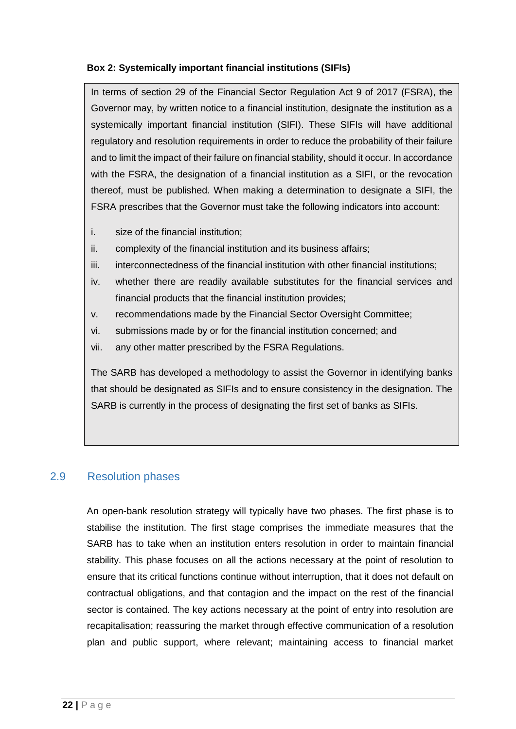#### **Box 2: Systemically important financial institutions (SIFIs)**

In terms of section 29 of the Financial Sector Regulation Act 9 of 2017 (FSRA), the Governor may, by written notice to a financial institution, designate the institution as a systemically important financial institution (SIFI). These SIFIs will have additional regulatory and resolution requirements in order to reduce the probability of their failure and to limit the impact of their failure on financial stability, should it occur. In accordance with the FSRA, the designation of a financial institution as a SIFI, or the revocation thereof, must be published. When making a determination to designate a SIFI, the FSRA prescribes that the Governor must take the following indicators into account:

- i. size of the financial institution;
- ii. complexity of the financial institution and its business affairs;
- iii. interconnectedness of the financial institution with other financial institutions;
- iv. whether there are readily available substitutes for the financial services and financial products that the financial institution provides;
- v. recommendations made by the Financial Sector Oversight Committee;
- vi. submissions made by or for the financial institution concerned; and
- vii. any other matter prescribed by the FSRA Regulations.

The SARB has developed a methodology to assist the Governor in identifying banks that should be designated as SIFIs and to ensure consistency in the designation. The SARB is currently in the process of designating the first set of banks as SIFIs.

## <span id="page-21-0"></span>2.9 Resolution phases

An open-bank resolution strategy will typically have two phases. The first phase is to stabilise the institution. The first stage comprises the immediate measures that the SARB has to take when an institution enters resolution in order to maintain financial stability. This phase focuses on all the actions necessary at the point of resolution to ensure that its critical functions continue without interruption, that it does not default on contractual obligations, and that contagion and the impact on the rest of the financial sector is contained. The key actions necessary at the point of entry into resolution are recapitalisation; reassuring the market through effective communication of a resolution plan and public support, where relevant; maintaining access to financial market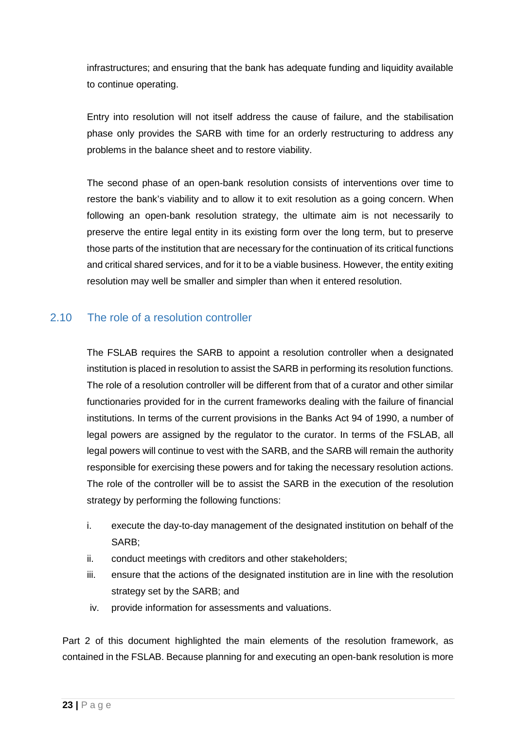infrastructures; and ensuring that the bank has adequate funding and liquidity available to continue operating.

Entry into resolution will not itself address the cause of failure, and the stabilisation phase only provides the SARB with time for an orderly restructuring to address any problems in the balance sheet and to restore viability.

The second phase of an open-bank resolution consists of interventions over time to restore the bank's viability and to allow it to exit resolution as a going concern. When following an open-bank resolution strategy, the ultimate aim is not necessarily to preserve the entire legal entity in its existing form over the long term, but to preserve those parts of the institution that are necessary for the continuation of its critical functions and critical shared services, and for it to be a viable business. However, the entity exiting resolution may well be smaller and simpler than when it entered resolution.

## <span id="page-22-0"></span>2.10 The role of a resolution controller

The FSLAB requires the SARB to appoint a resolution controller when a designated institution is placed in resolution to assist the SARB in performing its resolution functions. The role of a resolution controller will be different from that of a curator and other similar functionaries provided for in the current frameworks dealing with the failure of financial institutions. In terms of the current provisions in the Banks Act 94 of 1990, a number of legal powers are assigned by the regulator to the curator. In terms of the FSLAB, all legal powers will continue to vest with the SARB, and the SARB will remain the authority responsible for exercising these powers and for taking the necessary resolution actions. The role of the controller will be to assist the SARB in the execution of the resolution strategy by performing the following functions:

- i. execute the day-to-day management of the designated institution on behalf of the SARB;
- ii. conduct meetings with creditors and other stakeholders;
- iii. ensure that the actions of the designated institution are in line with the resolution strategy set by the SARB; and
- iv. provide information for assessments and valuations.

Part 2 of this document highlighted the main elements of the resolution framework, as contained in the FSLAB. Because planning for and executing an open-bank resolution is more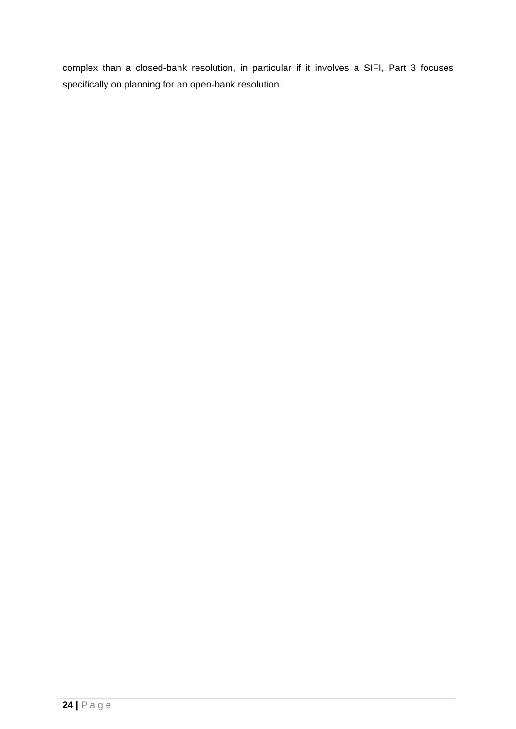complex than a closed-bank resolution, in particular if it involves a SIFI, Part 3 focuses specifically on planning for an open-bank resolution.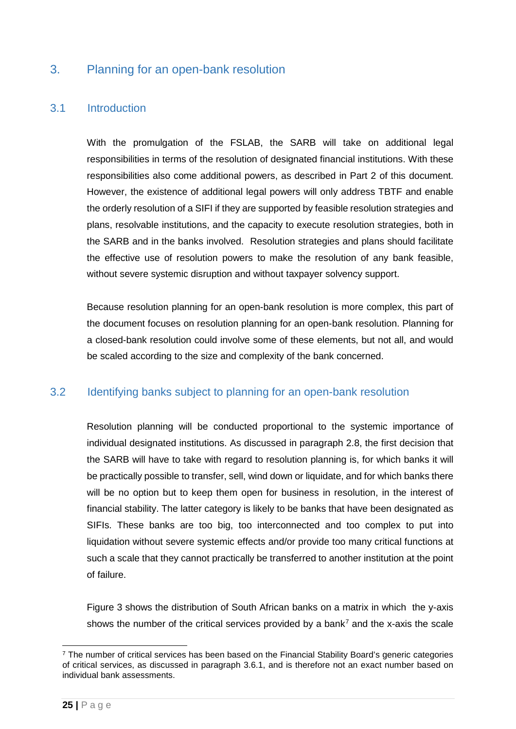## <span id="page-24-0"></span>3. Planning for an open-bank resolution

## <span id="page-24-1"></span>3.1 Introduction

With the promulgation of the FSLAB, the SARB will take on additional legal responsibilities in terms of the resolution of designated financial institutions. With these responsibilities also come additional powers, as described in Part 2 of this document. However, the existence of additional legal powers will only address TBTF and enable the orderly resolution of a SIFI if they are supported by feasible resolution strategies and plans, resolvable institutions, and the capacity to execute resolution strategies, both in the SARB and in the banks involved. Resolution strategies and plans should facilitate the effective use of resolution powers to make the resolution of any bank feasible, without severe systemic disruption and without taxpayer solvency support.

Because resolution planning for an open-bank resolution is more complex, this part of the document focuses on resolution planning for an open-bank resolution. Planning for a closed-bank resolution could involve some of these elements, but not all, and would be scaled according to the size and complexity of the bank concerned.

## <span id="page-24-2"></span>3.2 Identifying banks subject to planning for an open-bank resolution

Resolution planning will be conducted proportional to the systemic importance of individual designated institutions. As discussed in paragraph 2.8, the first decision that the SARB will have to take with regard to resolution planning is, for which banks it will be practically possible to transfer, sell, wind down or liquidate, and for which banks there will be no option but to keep them open for business in resolution, in the interest of financial stability. The latter category is likely to be banks that have been designated as SIFIs. These banks are too big, too interconnected and too complex to put into liquidation without severe systemic effects and/or provide too many critical functions at such a scale that they cannot practically be transferred to another institution at the point of failure.

Figure 3 shows the distribution of South African banks on a matrix in which the y-axis shows the number of the critical services provided by a bank<sup>[7](#page-24-3)</sup> and the x-axis the scale

<span id="page-24-3"></span><sup>&</sup>lt;sup>7</sup> The number of critical services has been based on the Financial Stability Board's generic categories of critical services, as discussed in paragraph 3.6.1, and is therefore not an exact number based on individual bank assessments.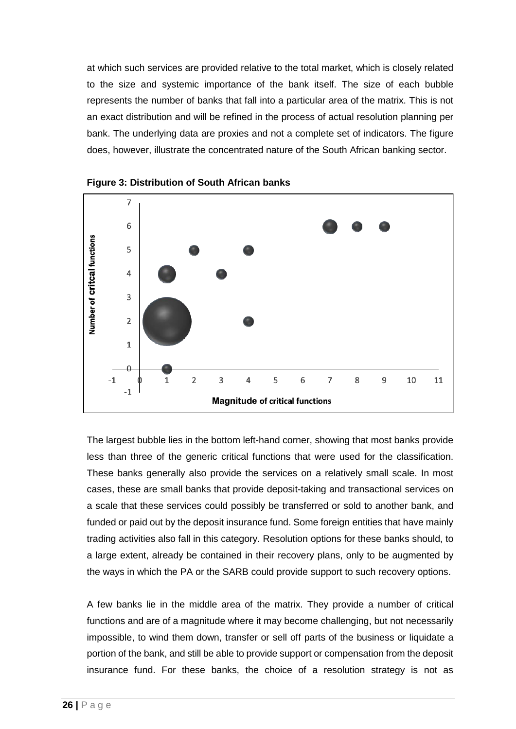at which such services are provided relative to the total market, which is closely related to the size and systemic importance of the bank itself. The size of each bubble represents the number of banks that fall into a particular area of the matrix. This is not an exact distribution and will be refined in the process of actual resolution planning per bank. The underlying data are proxies and not a complete set of indicators. The figure does, however, illustrate the concentrated nature of the South African banking sector.





The largest bubble lies in the bottom left-hand corner, showing that most banks provide less than three of the generic critical functions that were used for the classification. These banks generally also provide the services on a relatively small scale. In most cases, these are small banks that provide deposit-taking and transactional services on a scale that these services could possibly be transferred or sold to another bank, and funded or paid out by the deposit insurance fund. Some foreign entities that have mainly trading activities also fall in this category. Resolution options for these banks should, to a large extent, already be contained in their recovery plans, only to be augmented by the ways in which the PA or the SARB could provide support to such recovery options.

A few banks lie in the middle area of the matrix. They provide a number of critical functions and are of a magnitude where it may become challenging, but not necessarily impossible, to wind them down, transfer or sell off parts of the business or liquidate a portion of the bank, and still be able to provide support or compensation from the deposit insurance fund. For these banks, the choice of a resolution strategy is not as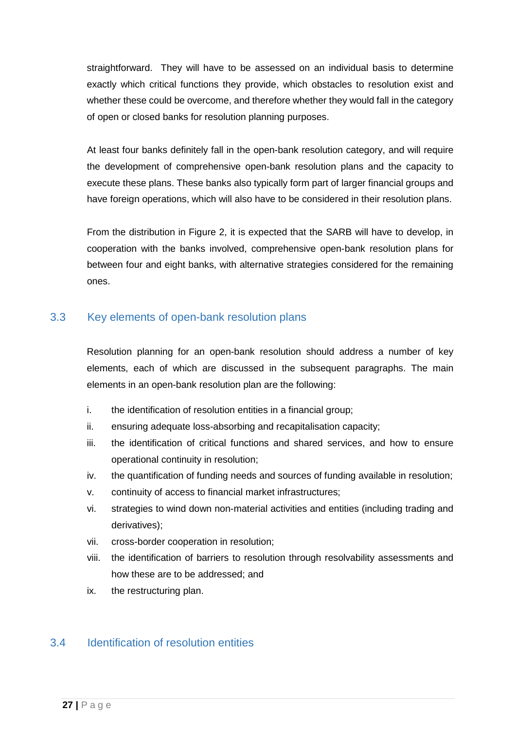straightforward. They will have to be assessed on an individual basis to determine exactly which critical functions they provide, which obstacles to resolution exist and whether these could be overcome, and therefore whether they would fall in the category of open or closed banks for resolution planning purposes.

At least four banks definitely fall in the open-bank resolution category, and will require the development of comprehensive open-bank resolution plans and the capacity to execute these plans. These banks also typically form part of larger financial groups and have foreign operations, which will also have to be considered in their resolution plans.

From the distribution in Figure 2, it is expected that the SARB will have to develop, in cooperation with the banks involved, comprehensive open-bank resolution plans for between four and eight banks, with alternative strategies considered for the remaining ones.

## <span id="page-26-0"></span>3.3 Key elements of open-bank resolution plans

Resolution planning for an open-bank resolution should address a number of key elements, each of which are discussed in the subsequent paragraphs. The main elements in an open-bank resolution plan are the following:

- i. the identification of resolution entities in a financial group;
- ii. ensuring adequate loss-absorbing and recapitalisation capacity;
- iii. the identification of critical functions and shared services, and how to ensure operational continuity in resolution;
- iv. the quantification of funding needs and sources of funding available in resolution;
- v. continuity of access to financial market infrastructures;
- vi. strategies to wind down non-material activities and entities (including trading and derivatives);
- vii. cross-border cooperation in resolution;
- viii. the identification of barriers to resolution through resolvability assessments and how these are to be addressed; and
- ix. the restructuring plan.

## <span id="page-26-1"></span>3.4 Identification of resolution entities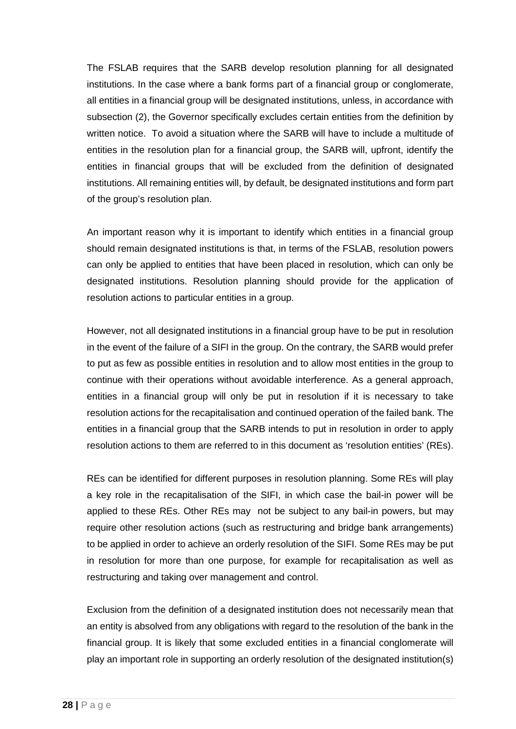The FSLAB requires that the SARB develop resolution planning for all designated institutions. In the case where a bank forms part of a financial group or conglomerate, all entities in a financial group will be designated institutions, unless, in accordance with subsection (2), the Governor specifically excludes certain entities from the definition by written notice. To avoid a situation where the SARB will have to include a multitude of entities in the resolution plan for a financial group, the SARB will, upfront, identify the entities in financial groups that will be excluded from the definition of designated institutions. All remaining entities will, by default, be designated institutions and form part of the group's resolution plan.

An important reason why it is important to identify which entities in a financial group should remain designated institutions is that, in terms of the FSLAB, resolution powers can only be applied to entities that have been placed in resolution, which can only be designated institutions. Resolution planning should provide for the application of resolution actions to particular entities in a group.

However, not all designated institutions in a financial group have to be put in resolution in the event of the failure of a SIFI in the group. On the contrary, the SARB would prefer to put as few as possible entities in resolution and to allow most entities in the group to continue with their operations without avoidable interference. As a general approach, entities in a financial group will only be put in resolution if it is necessary to take resolution actions for the recapitalisation and continued operation of the failed bank. The entities in a financial group that the SARB intends to put in resolution in order to apply resolution actions to them are referred to in this document as 'resolution entities' (REs).

REs can be identified for different purposes in resolution planning. Some REs will play a key role in the recapitalisation of the SIFI, in which case the bail-in power will be applied to these REs. Other REs may not be subject to any bail-in powers, but may require other resolution actions (such as restructuring and bridge bank arrangements) to be applied in order to achieve an orderly resolution of the SIFI. Some REs may be put in resolution for more than one purpose, for example for recapitalisation as well as restructuring and taking over management and control.

Exclusion from the definition of a designated institution does not necessarily mean that an entity is absolved from any obligations with regard to the resolution of the bank in the financial group. It is likely that some excluded entities in a financial conglomerate will play an important role in supporting an orderly resolution of the designated institution(s)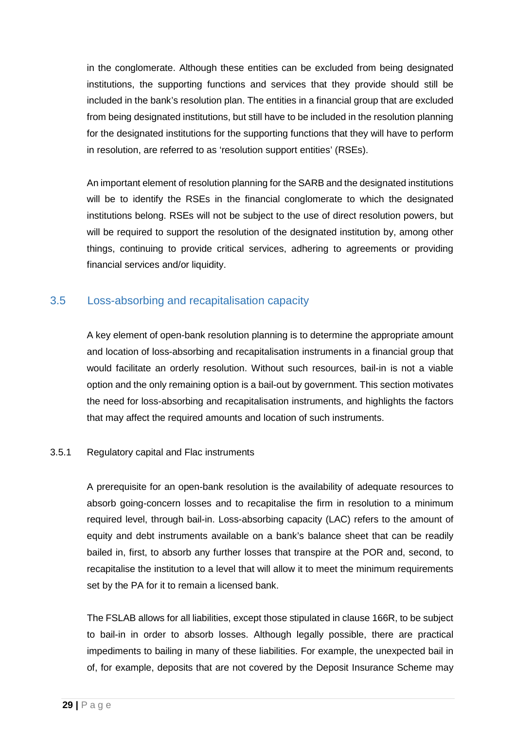in the conglomerate. Although these entities can be excluded from being designated institutions, the supporting functions and services that they provide should still be included in the bank's resolution plan. The entities in a financial group that are excluded from being designated institutions, but still have to be included in the resolution planning for the designated institutions for the supporting functions that they will have to perform in resolution, are referred to as 'resolution support entities' (RSEs).

An important element of resolution planning for the SARB and the designated institutions will be to identify the RSEs in the financial conglomerate to which the designated institutions belong. RSEs will not be subject to the use of direct resolution powers, but will be required to support the resolution of the designated institution by, among other things, continuing to provide critical services, adhering to agreements or providing financial services and/or liquidity.

## <span id="page-28-0"></span>3.5 Loss-absorbing and recapitalisation capacity

A key element of open-bank resolution planning is to determine the appropriate amount and location of loss-absorbing and recapitalisation instruments in a financial group that would facilitate an orderly resolution. Without such resources, bail-in is not a viable option and the only remaining option is a bail-out by government. This section motivates the need for loss-absorbing and recapitalisation instruments, and highlights the factors that may affect the required amounts and location of such instruments.

#### <span id="page-28-1"></span>3.5.1 Regulatory capital and Flac instruments

A prerequisite for an open-bank resolution is the availability of adequate resources to absorb going-concern losses and to recapitalise the firm in resolution to a minimum required level, through bail-in. Loss-absorbing capacity (LAC) refers to the amount of equity and debt instruments available on a bank's balance sheet that can be readily bailed in, first, to absorb any further losses that transpire at the POR and, second, to recapitalise the institution to a level that will allow it to meet the minimum requirements set by the PA for it to remain a licensed bank.

The FSLAB allows for all liabilities, except those stipulated in clause 166R, to be subject to bail-in in order to absorb losses. Although legally possible, there are practical impediments to bailing in many of these liabilities. For example, the unexpected bail in of, for example, deposits that are not covered by the Deposit Insurance Scheme may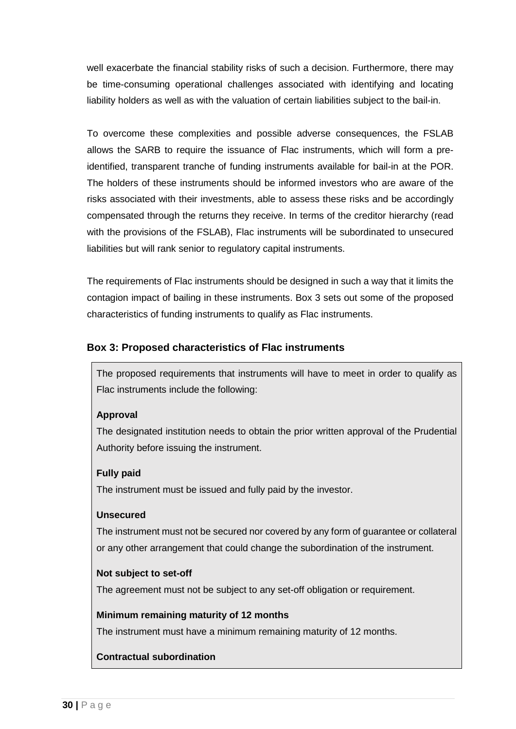well exacerbate the financial stability risks of such a decision. Furthermore, there may be time-consuming operational challenges associated with identifying and locating liability holders as well as with the valuation of certain liabilities subject to the bail-in.

To overcome these complexities and possible adverse consequences, the FSLAB allows the SARB to require the issuance of Flac instruments, which will form a preidentified, transparent tranche of funding instruments available for bail-in at the POR. The holders of these instruments should be informed investors who are aware of the risks associated with their investments, able to assess these risks and be accordingly compensated through the returns they receive. In terms of the creditor hierarchy (read with the provisions of the FSLAB), Flac instruments will be subordinated to unsecured liabilities but will rank senior to regulatory capital instruments.

The requirements of Flac instruments should be designed in such a way that it limits the contagion impact of bailing in these instruments. Box 3 sets out some of the proposed characteristics of funding instruments to qualify as Flac instruments.

#### **Box 3: Proposed characteristics of Flac instruments**

The proposed requirements that instruments will have to meet in order to qualify as Flac instruments include the following:

#### **Approval**

The designated institution needs to obtain the prior written approval of the Prudential Authority before issuing the instrument.

#### **Fully paid**

The instrument must be issued and fully paid by the investor.

#### **Unsecured**

The instrument must not be secured nor covered by any form of guarantee or collateral or any other arrangement that could change the subordination of the instrument.

#### **Not subject to set-off**

The agreement must not be subject to any set-off obligation or requirement.

#### **Minimum remaining maturity of 12 months**

The instrument must have a minimum remaining maturity of 12 months.

#### **Contractual subordination**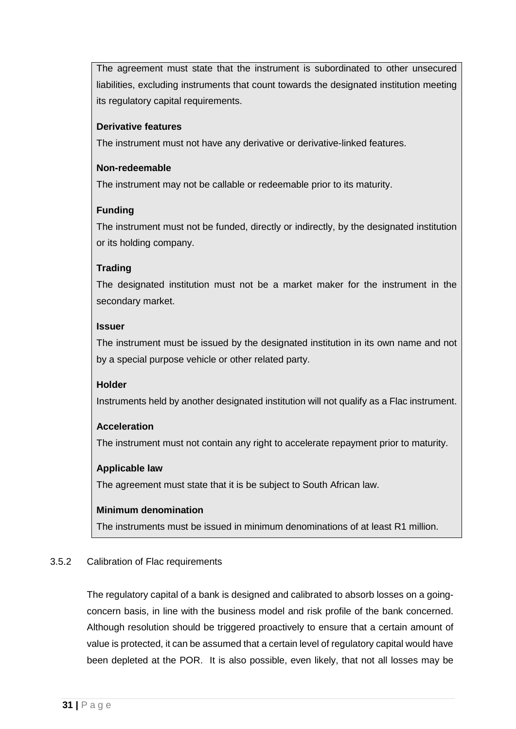The agreement must state that the instrument is subordinated to other unsecured liabilities, excluding instruments that count towards the designated institution meeting its regulatory capital requirements.

#### **Derivative features**

The instrument must not have any derivative or derivative-linked features.

#### **Non-redeemable**

The instrument may not be callable or redeemable prior to its maturity.

#### **Funding**

The instrument must not be funded, directly or indirectly, by the designated institution or its holding company.

#### **Trading**

The designated institution must not be a market maker for the instrument in the secondary market.

#### **Issuer**

The instrument must be issued by the designated institution in its own name and not by a special purpose vehicle or other related party.

#### **Holder**

Instruments held by another designated institution will not qualify as a Flac instrument.

#### **Acceleration**

The instrument must not contain any right to accelerate repayment prior to maturity.

#### **Applicable law**

The agreement must state that it is be subject to South African law.

#### **Minimum denomination**

The instruments must be issued in minimum denominations of at least R1 million.

#### <span id="page-30-0"></span>3.5.2 Calibration of Flac requirements

The regulatory capital of a bank is designed and calibrated to absorb losses on a goingconcern basis, in line with the business model and risk profile of the bank concerned. Although resolution should be triggered proactively to ensure that a certain amount of value is protected, it can be assumed that a certain level of regulatory capital would have been depleted at the POR. It is also possible, even likely, that not all losses may be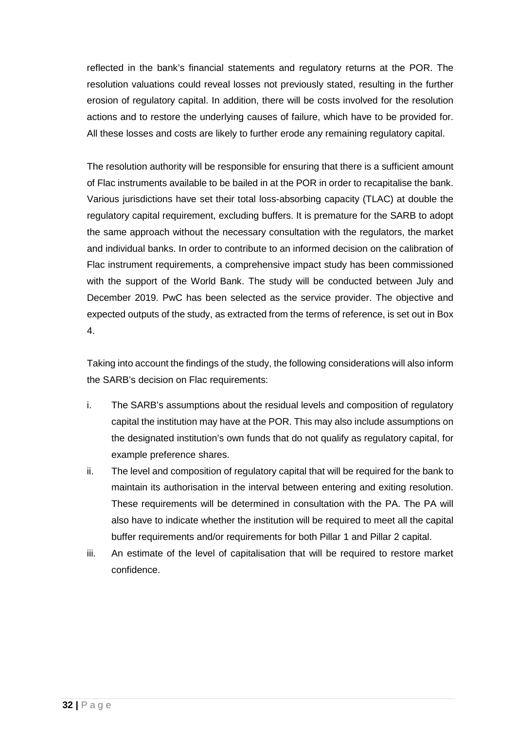reflected in the bank's financial statements and regulatory returns at the POR. The resolution valuations could reveal losses not previously stated, resulting in the further erosion of regulatory capital. In addition, there will be costs involved for the resolution actions and to restore the underlying causes of failure, which have to be provided for. All these losses and costs are likely to further erode any remaining regulatory capital.

The resolution authority will be responsible for ensuring that there is a sufficient amount of Flac instruments available to be bailed in at the POR in order to recapitalise the bank. Various jurisdictions have set their total loss-absorbing capacity (TLAC) at double the regulatory capital requirement, excluding buffers. It is premature for the SARB to adopt the same approach without the necessary consultation with the regulators, the market and individual banks. In order to contribute to an informed decision on the calibration of Flac instrument requirements, a comprehensive impact study has been commissioned with the support of the World Bank. The study will be conducted between July and December 2019. PwC has been selected as the service provider. The objective and expected outputs of the study, as extracted from the terms of reference, is set out in Box 4.

Taking into account the findings of the study, the following considerations will also inform the SARB's decision on Flac requirements:

- i. The SARB's assumptions about the residual levels and composition of regulatory capital the institution may have at the POR. This may also include assumptions on the designated institution's own funds that do not qualify as regulatory capital, for example preference shares.
- ii. The level and composition of regulatory capital that will be required for the bank to maintain its authorisation in the interval between entering and exiting resolution. These requirements will be determined in consultation with the PA. The PA will also have to indicate whether the institution will be required to meet all the capital buffer requirements and/or requirements for both Pillar 1 and Pillar 2 capital.
- iii. An estimate of the level of capitalisation that will be required to restore market confidence.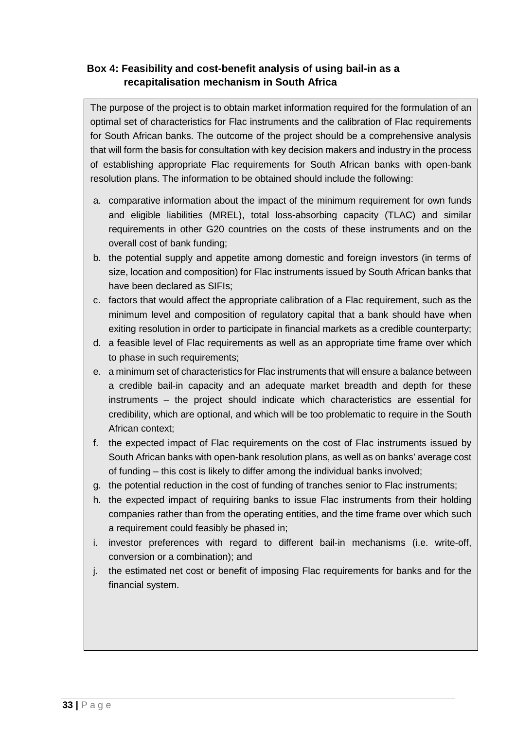## **Box 4: Feasibility and cost-benefit analysis of using bail-in as a recapitalisation mechanism in South Africa**

The purpose of the project is to obtain market information required for the formulation of an optimal set of characteristics for Flac instruments and the calibration of Flac requirements for South African banks. The outcome of the project should be a comprehensive analysis that will form the basis for consultation with key decision makers and industry in the process of establishing appropriate Flac requirements for South African banks with open-bank resolution plans. The information to be obtained should include the following:

- a. comparative information about the impact of the minimum requirement for own funds and eligible liabilities (MREL), total loss-absorbing capacity (TLAC) and similar requirements in other G20 countries on the costs of these instruments and on the overall cost of bank funding;
- b. the potential supply and appetite among domestic and foreign investors (in terms of size, location and composition) for Flac instruments issued by South African banks that have been declared as SIFIs;
- c. factors that would affect the appropriate calibration of a Flac requirement, such as the minimum level and composition of regulatory capital that a bank should have when exiting resolution in order to participate in financial markets as a credible counterparty;
- d. a feasible level of Flac requirements as well as an appropriate time frame over which to phase in such requirements;
- e. a minimum set of characteristics for Flac instruments that will ensure a balance between a credible bail-in capacity and an adequate market breadth and depth for these instruments – the project should indicate which characteristics are essential for credibility, which are optional, and which will be too problematic to require in the South African context;
- f. the expected impact of Flac requirements on the cost of Flac instruments issued by South African banks with open-bank resolution plans, as well as on banks' average cost of funding – this cost is likely to differ among the individual banks involved;
- g. the potential reduction in the cost of funding of tranches senior to Flac instruments;
- h. the expected impact of requiring banks to issue Flac instruments from their holding companies rather than from the operating entities, and the time frame over which such a requirement could feasibly be phased in;
- i. investor preferences with regard to different bail-in mechanisms (i.e. write-off, conversion or a combination); and
- j. the estimated net cost or benefit of imposing Flac requirements for banks and for the financial system.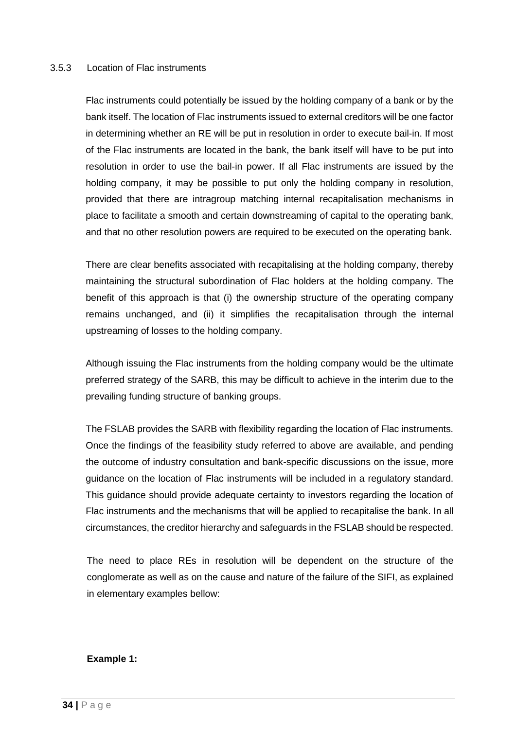#### <span id="page-33-0"></span>3.5.3 Location of Flac instruments

Flac instruments could potentially be issued by the holding company of a bank or by the bank itself. The location of Flac instruments issued to external creditors will be one factor in determining whether an RE will be put in resolution in order to execute bail-in. If most of the Flac instruments are located in the bank, the bank itself will have to be put into resolution in order to use the bail-in power. If all Flac instruments are issued by the holding company, it may be possible to put only the holding company in resolution, provided that there are intragroup matching internal recapitalisation mechanisms in place to facilitate a smooth and certain downstreaming of capital to the operating bank, and that no other resolution powers are required to be executed on the operating bank.

There are clear benefits associated with recapitalising at the holding company, thereby maintaining the structural subordination of Flac holders at the holding company. The benefit of this approach is that (i) the ownership structure of the operating company remains unchanged, and (ii) it simplifies the recapitalisation through the internal upstreaming of losses to the holding company.

Although issuing the Flac instruments from the holding company would be the ultimate preferred strategy of the SARB, this may be difficult to achieve in the interim due to the prevailing funding structure of banking groups.

The FSLAB provides the SARB with flexibility regarding the location of Flac instruments. Once the findings of the feasibility study referred to above are available, and pending the outcome of industry consultation and bank-specific discussions on the issue, more guidance on the location of Flac instruments will be included in a regulatory standard. This guidance should provide adequate certainty to investors regarding the location of Flac instruments and the mechanisms that will be applied to recapitalise the bank. In all circumstances, the creditor hierarchy and safeguards in the FSLAB should be respected.

The need to place REs in resolution will be dependent on the structure of the conglomerate as well as on the cause and nature of the failure of the SIFI, as explained in elementary examples bellow:

#### **Example 1:**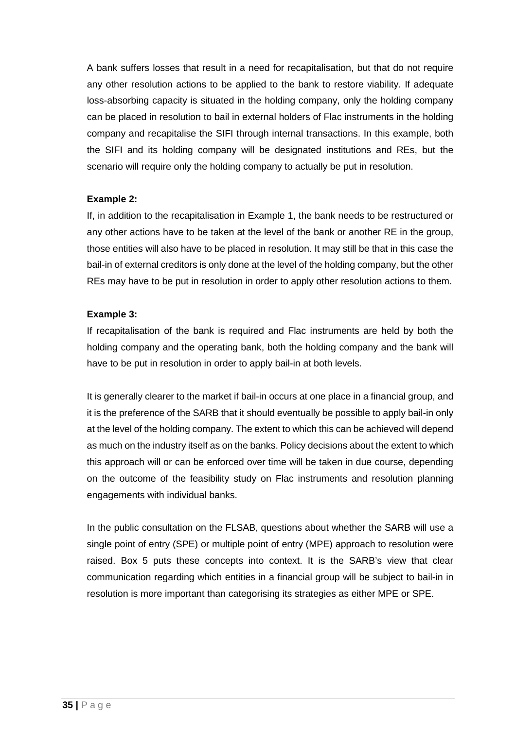A bank suffers losses that result in a need for recapitalisation, but that do not require any other resolution actions to be applied to the bank to restore viability. If adequate loss-absorbing capacity is situated in the holding company, only the holding company can be placed in resolution to bail in external holders of Flac instruments in the holding company and recapitalise the SIFI through internal transactions. In this example, both the SIFI and its holding company will be designated institutions and REs, but the scenario will require only the holding company to actually be put in resolution.

#### **Example 2:**

If, in addition to the recapitalisation in Example 1, the bank needs to be restructured or any other actions have to be taken at the level of the bank or another RE in the group, those entities will also have to be placed in resolution. It may still be that in this case the bail-in of external creditors is only done at the level of the holding company, but the other REs may have to be put in resolution in order to apply other resolution actions to them.

#### **Example 3:**

If recapitalisation of the bank is required and Flac instruments are held by both the holding company and the operating bank, both the holding company and the bank will have to be put in resolution in order to apply bail-in at both levels.

It is generally clearer to the market if bail-in occurs at one place in a financial group, and it is the preference of the SARB that it should eventually be possible to apply bail-in only at the level of the holding company. The extent to which this can be achieved will depend as much on the industry itself as on the banks. Policy decisions about the extent to which this approach will or can be enforced over time will be taken in due course, depending on the outcome of the feasibility study on Flac instruments and resolution planning engagements with individual banks.

In the public consultation on the FLSAB, questions about whether the SARB will use a single point of entry (SPE) or multiple point of entry (MPE) approach to resolution were raised. Box 5 puts these concepts into context. It is the SARB's view that clear communication regarding which entities in a financial group will be subject to bail-in in resolution is more important than categorising its strategies as either MPE or SPE.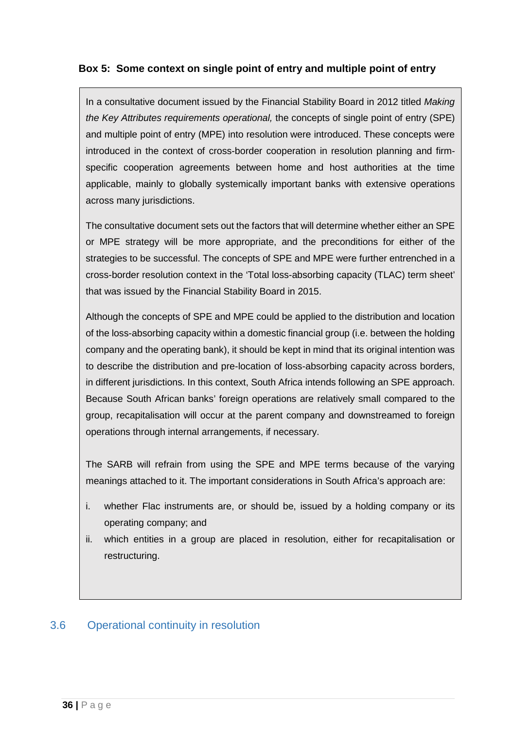## **Box 5: Some context on single point of entry and multiple point of entry**

In a consultative document issued by the Financial Stability Board in 2012 titled *Making the Key Attributes requirements operational,* the concepts of single point of entry (SPE) and multiple point of entry (MPE) into resolution were introduced. These concepts were introduced in the context of cross-border cooperation in resolution planning and firmspecific cooperation agreements between home and host authorities at the time applicable, mainly to globally systemically important banks with extensive operations across many jurisdictions.

The consultative document sets out the factors that will determine whether either an SPE or MPE strategy will be more appropriate, and the preconditions for either of the strategies to be successful. The concepts of SPE and MPE were further entrenched in a cross-border resolution context in the 'Total loss-absorbing capacity (TLAC) term sheet' that was issued by the Financial Stability Board in 2015.

Although the concepts of SPE and MPE could be applied to the distribution and location of the loss-absorbing capacity within a domestic financial group (i.e. between the holding company and the operating bank), it should be kept in mind that its original intention was to describe the distribution and pre-location of loss-absorbing capacity across borders, in different jurisdictions. In this context, South Africa intends following an SPE approach. Because South African banks' foreign operations are relatively small compared to the group, recapitalisation will occur at the parent company and downstreamed to foreign operations through internal arrangements, if necessary.

The SARB will refrain from using the SPE and MPE terms because of the varying meanings attached to it. The important considerations in South Africa's approach are:

- i. whether Flac instruments are, or should be, issued by a holding company or its operating company; and
- ii. which entities in a group are placed in resolution, either for recapitalisation or restructuring.

## <span id="page-35-0"></span>3.6 Operational continuity in resolution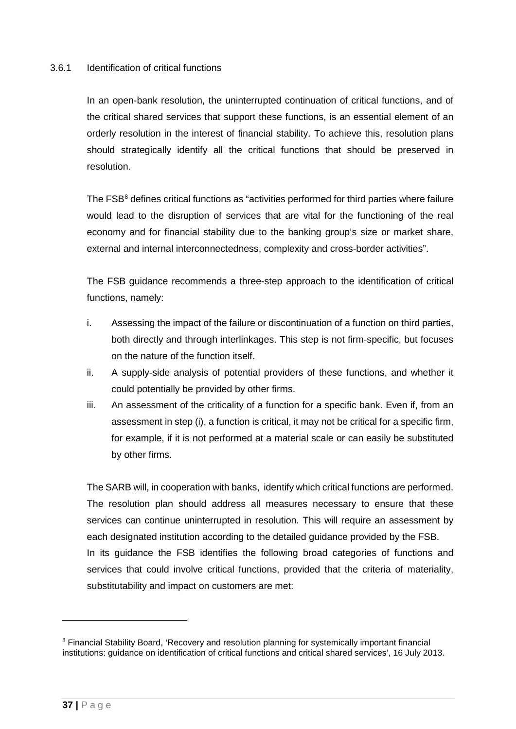#### <span id="page-36-0"></span>3.6.1 Identification of critical functions

In an open-bank resolution, the uninterrupted continuation of critical functions, and of the critical shared services that support these functions, is an essential element of an orderly resolution in the interest of financial stability. To achieve this, resolution plans should strategically identify all the critical functions that should be preserved in resolution.

The FSB<sup>[8](#page-36-1)</sup> defines critical functions as "activities performed for third parties where failure would lead to the disruption of services that are vital for the functioning of the real economy and for financial stability due to the banking group's size or market share, external and internal interconnectedness, complexity and cross-border activities".

The FSB guidance recommends a three-step approach to the identification of critical functions, namely:

- i. Assessing the impact of the failure or discontinuation of a function on third parties, both directly and through interlinkages. This step is not firm-specific, but focuses on the nature of the function itself.
- ii. A supply-side analysis of potential providers of these functions, and whether it could potentially be provided by other firms.
- iii. An assessment of the criticality of a function for a specific bank. Even if, from an assessment in step (i), a function is critical, it may not be critical for a specific firm, for example, if it is not performed at a material scale or can easily be substituted by other firms.

The SARB will, in cooperation with banks, identify which critical functions are performed. The resolution plan should address all measures necessary to ensure that these services can continue uninterrupted in resolution. This will require an assessment by each designated institution according to the detailed guidance provided by the FSB. In its guidance the FSB identifies the following broad categories of functions and services that could involve critical functions, provided that the criteria of materiality, substitutability and impact on customers are met:

-

<span id="page-36-1"></span><sup>8</sup> Financial Stability Board, 'Recovery and resolution planning for systemically important financial institutions: guidance on identification of critical functions and critical shared services', 16 July 2013.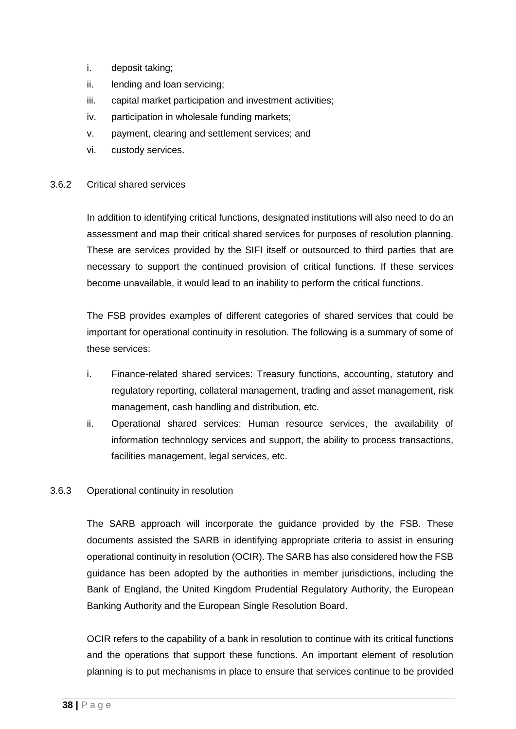- i. deposit taking;
- ii. lending and loan servicing;
- iii. capital market participation and investment activities;
- iv. participation in wholesale funding markets;
- v. payment, clearing and settlement services; and
- vi. custody services.

#### <span id="page-37-0"></span>3.6.2 Critical shared services

In addition to identifying critical functions, designated institutions will also need to do an assessment and map their critical shared services for purposes of resolution planning. These are services provided by the SIFI itself or outsourced to third parties that are necessary to support the continued provision of critical functions. If these services become unavailable, it would lead to an inability to perform the critical functions.

The FSB provides examples of different categories of shared services that could be important for operational continuity in resolution. The following is a summary of some of these services:

- i. Finance-related shared services: Treasury functions, accounting, statutory and regulatory reporting, collateral management, trading and asset management, risk management, cash handling and distribution, etc.
- ii. Operational shared services: Human resource services, the availability of information technology services and support, the ability to process transactions, facilities management, legal services, etc.

#### <span id="page-37-1"></span>3.6.3 Operational continuity in resolution

The SARB approach will incorporate the guidance provided by the FSB. These documents assisted the SARB in identifying appropriate criteria to assist in ensuring operational continuity in resolution (OCIR). The SARB has also considered how the FSB guidance has been adopted by the authorities in member jurisdictions, including the Bank of England, the United Kingdom Prudential Regulatory Authority, the European Banking Authority and the European Single Resolution Board.

OCIR refers to the capability of a bank in resolution to continue with its critical functions and the operations that support these functions. An important element of resolution planning is to put mechanisms in place to ensure that services continue to be provided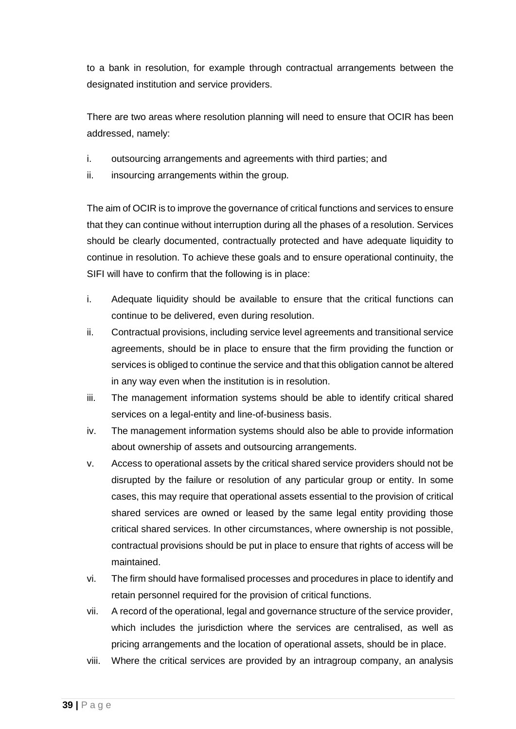to a bank in resolution, for example through contractual arrangements between the designated institution and service providers.

There are two areas where resolution planning will need to ensure that OCIR has been addressed, namely:

- i. outsourcing arrangements and agreements with third parties; and
- ii. insourcing arrangements within the group.

The aim of OCIR is to improve the governance of critical functions and services to ensure that they can continue without interruption during all the phases of a resolution. Services should be clearly documented, contractually protected and have adequate liquidity to continue in resolution. To achieve these goals and to ensure operational continuity, the SIFI will have to confirm that the following is in place:

- i. Adequate liquidity should be available to ensure that the critical functions can continue to be delivered, even during resolution.
- ii. Contractual provisions, including service level agreements and transitional service agreements, should be in place to ensure that the firm providing the function or services is obliged to continue the service and that this obligation cannot be altered in any way even when the institution is in resolution.
- iii. The management information systems should be able to identify critical shared services on a legal-entity and line-of-business basis.
- iv. The management information systems should also be able to provide information about ownership of assets and outsourcing arrangements.
- v. Access to operational assets by the critical shared service providers should not be disrupted by the failure or resolution of any particular group or entity. In some cases, this may require that operational assets essential to the provision of critical shared services are owned or leased by the same legal entity providing those critical shared services. In other circumstances, where ownership is not possible, contractual provisions should be put in place to ensure that rights of access will be maintained.
- vi. The firm should have formalised processes and procedures in place to identify and retain personnel required for the provision of critical functions.
- vii. A record of the operational, legal and governance structure of the service provider, which includes the jurisdiction where the services are centralised, as well as pricing arrangements and the location of operational assets, should be in place.
- viii. Where the critical services are provided by an intragroup company, an analysis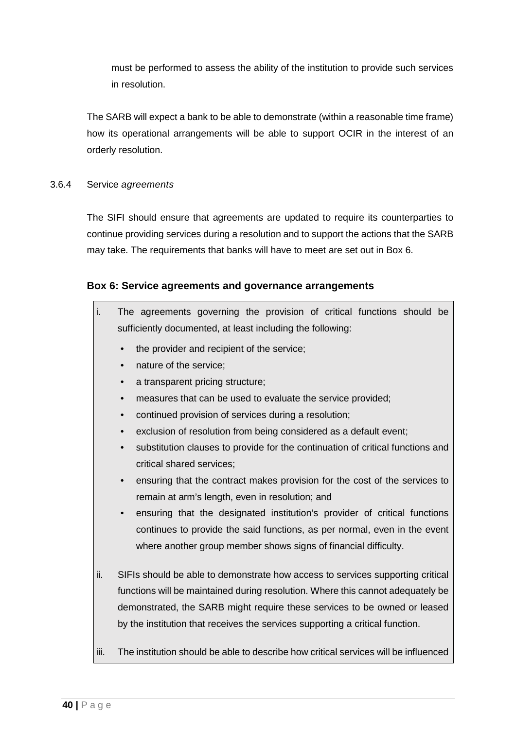must be performed to assess the ability of the institution to provide such services in resolution.

The SARB will expect a bank to be able to demonstrate (within a reasonable time frame) how its operational arrangements will be able to support OCIR in the interest of an orderly resolution.

#### <span id="page-39-0"></span>3.6.4 Service *agreements*

The SIFI should ensure that agreements are updated to require its counterparties to continue providing services during a resolution and to support the actions that the SARB may take. The requirements that banks will have to meet are set out in Box 6.

#### **Box 6: Service agreements and governance arrangements**

| i. |           | The agreements governing the provision of critical functions should be         |
|----|-----------|--------------------------------------------------------------------------------|
|    |           | sufficiently documented, at least including the following:                     |
|    | $\bullet$ | the provider and recipient of the service;                                     |
|    | $\bullet$ | nature of the service;                                                         |
|    | $\bullet$ | a transparent pricing structure;                                               |
|    |           | measures that can be used to evaluate the service provided;                    |
|    | $\bullet$ | continued provision of services during a resolution;                           |
|    | $\bullet$ | exclusion of resolution from being considered as a default event;              |
|    | $\bullet$ | substitution clauses to provide for the continuation of critical functions and |
|    |           | critical shared services;                                                      |
|    | $\bullet$ | ensuring that the contract makes provision for the cost of the services to     |
|    |           | remain at arm's length, even in resolution; and                                |
|    | $\bullet$ | ensuring that the designated institution's provider of critical functions      |
|    |           | continues to provide the said functions, as per normal, even in the event      |
|    |           | where another group member shows signs of financial difficulty.                |

- ii. SIFIs should be able to demonstrate how access to services supporting critical functions will be maintained during resolution. Where this cannot adequately be demonstrated, the SARB might require these services to be owned or leased by the institution that receives the services supporting a critical function.
- iii. The institution should be able to describe how critical services will be influenced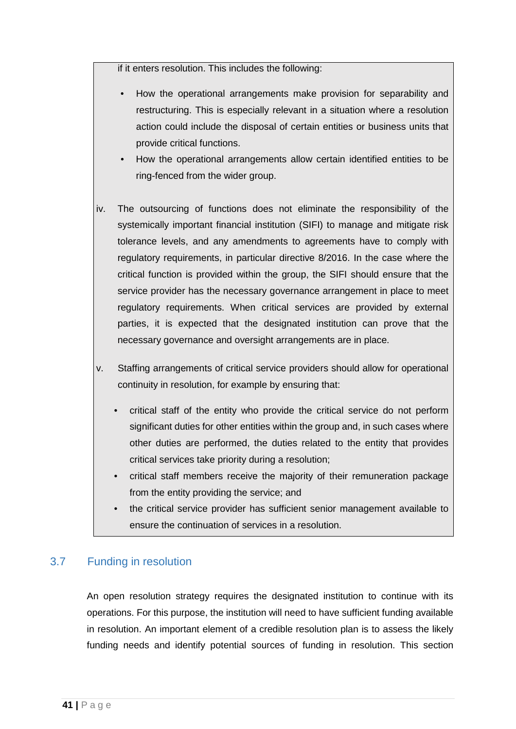if it enters resolution. This includes the following:

- How the operational arrangements make provision for separability and restructuring. This is especially relevant in a situation where a resolution action could include the disposal of certain entities or business units that provide critical functions.
- How the operational arrangements allow certain identified entities to be ring-fenced from the wider group.
- iv. The outsourcing of functions does not eliminate the responsibility of the systemically important financial institution (SIFI) to manage and mitigate risk tolerance levels, and any amendments to agreements have to comply with regulatory requirements, in particular directive 8/2016. In the case where the critical function is provided within the group, the SIFI should ensure that the service provider has the necessary governance arrangement in place to meet regulatory requirements. When critical services are provided by external parties, it is expected that the designated institution can prove that the necessary governance and oversight arrangements are in place.
- v. Staffing arrangements of critical service providers should allow for operational continuity in resolution, for example by ensuring that:
	- critical staff of the entity who provide the critical service do not perform significant duties for other entities within the group and, in such cases where other duties are performed, the duties related to the entity that provides critical services take priority during a resolution;
	- critical staff members receive the majority of their remuneration package from the entity providing the service; and
	- the critical service provider has sufficient senior management available to ensure the continuation of services in a resolution.

## <span id="page-40-0"></span>3.7 Funding in resolution

An open resolution strategy requires the designated institution to continue with its operations. For this purpose, the institution will need to have sufficient funding available in resolution. An important element of a credible resolution plan is to assess the likely funding needs and identify potential sources of funding in resolution. This section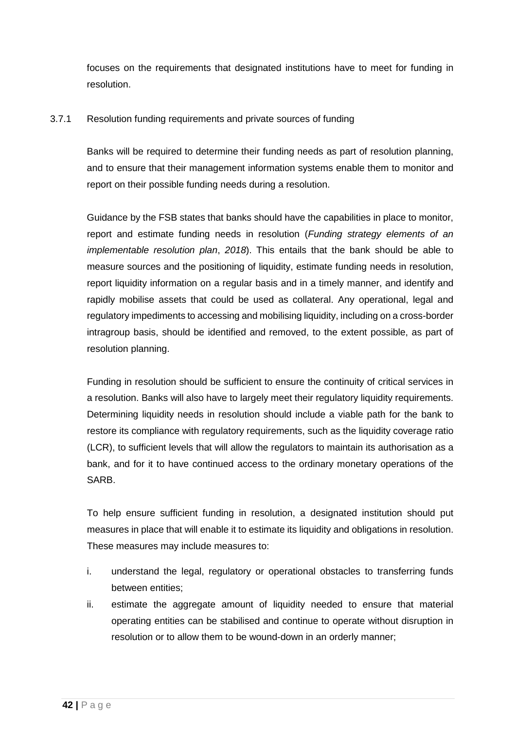focuses on the requirements that designated institutions have to meet for funding in resolution.

#### <span id="page-41-0"></span>3.7.1 Resolution funding requirements and private sources of funding

Banks will be required to determine their funding needs as part of resolution planning, and to ensure that their management information systems enable them to monitor and report on their possible funding needs during a resolution.

Guidance by the FSB states that banks should have the capabilities in place to monitor, report and estimate funding needs in resolution (*Funding strategy elements of an implementable resolution plan*, *2018*). This entails that the bank should be able to measure sources and the positioning of liquidity, estimate funding needs in resolution, report liquidity information on a regular basis and in a timely manner, and identify and rapidly mobilise assets that could be used as collateral. Any operational, legal and regulatory impediments to accessing and mobilising liquidity, including on a cross-border intragroup basis, should be identified and removed, to the extent possible, as part of resolution planning.

Funding in resolution should be sufficient to ensure the continuity of critical services in a resolution. Banks will also have to largely meet their regulatory liquidity requirements. Determining liquidity needs in resolution should include a viable path for the bank to restore its compliance with regulatory requirements, such as the liquidity coverage ratio (LCR), to sufficient levels that will allow the regulators to maintain its authorisation as a bank, and for it to have continued access to the ordinary monetary operations of the SARB.

To help ensure sufficient funding in resolution, a designated institution should put measures in place that will enable it to estimate its liquidity and obligations in resolution. These measures may include measures to:

- i. understand the legal, regulatory or operational obstacles to transferring funds between entities;
- ii. estimate the aggregate amount of liquidity needed to ensure that material operating entities can be stabilised and continue to operate without disruption in resolution or to allow them to be wound-down in an orderly manner;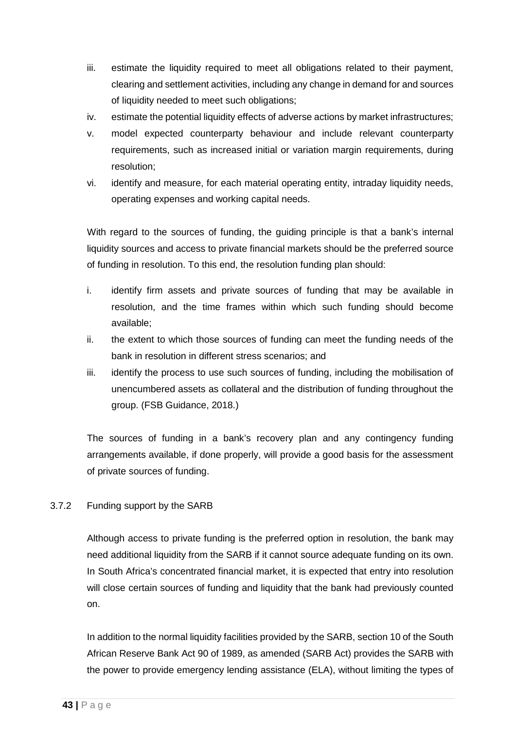- iii. estimate the liquidity required to meet all obligations related to their payment, clearing and settlement activities, including any change in demand for and sources of liquidity needed to meet such obligations;
- iv. estimate the potential liquidity effects of adverse actions by market infrastructures;
- v. model expected counterparty behaviour and include relevant counterparty requirements, such as increased initial or variation margin requirements, during resolution;
- vi. identify and measure, for each material operating entity, intraday liquidity needs, operating expenses and working capital needs.

With regard to the sources of funding, the guiding principle is that a bank's internal liquidity sources and access to private financial markets should be the preferred source of funding in resolution. To this end, the resolution funding plan should:

- i. identify firm assets and private sources of funding that may be available in resolution, and the time frames within which such funding should become available;
- ii. the extent to which those sources of funding can meet the funding needs of the bank in resolution in different stress scenarios; and
- iii. identify the process to use such sources of funding, including the mobilisation of unencumbered assets as collateral and the distribution of funding throughout the group. (FSB Guidance, 2018.)

The sources of funding in a bank's recovery plan and any contingency funding arrangements available, if done properly, will provide a good basis for the assessment of private sources of funding.

#### <span id="page-42-0"></span>3.7.2 Funding support by the SARB

Although access to private funding is the preferred option in resolution, the bank may need additional liquidity from the SARB if it cannot source adequate funding on its own. In South Africa's concentrated financial market, it is expected that entry into resolution will close certain sources of funding and liquidity that the bank had previously counted on.

In addition to the normal liquidity facilities provided by the SARB, section 10 of the South African Reserve Bank Act 90 of 1989, as amended (SARB Act) provides the SARB with the power to provide emergency lending assistance (ELA), without limiting the types of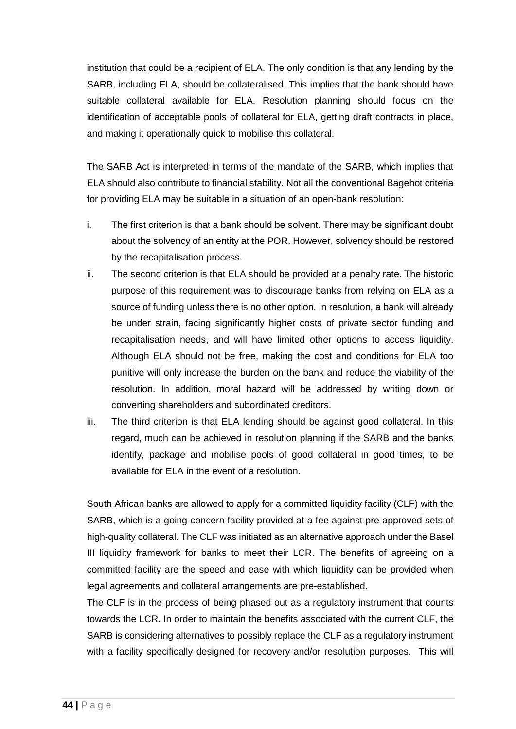institution that could be a recipient of ELA. The only condition is that any lending by the SARB, including ELA, should be collateralised. This implies that the bank should have suitable collateral available for ELA. Resolution planning should focus on the identification of acceptable pools of collateral for ELA, getting draft contracts in place, and making it operationally quick to mobilise this collateral.

The SARB Act is interpreted in terms of the mandate of the SARB, which implies that ELA should also contribute to financial stability. Not all the conventional Bagehot criteria for providing ELA may be suitable in a situation of an open-bank resolution:

- i. The first criterion is that a bank should be solvent. There may be significant doubt about the solvency of an entity at the POR. However, solvency should be restored by the recapitalisation process.
- ii. The second criterion is that ELA should be provided at a penalty rate. The historic purpose of this requirement was to discourage banks from relying on ELA as a source of funding unless there is no other option. In resolution, a bank will already be under strain, facing significantly higher costs of private sector funding and recapitalisation needs, and will have limited other options to access liquidity. Although ELA should not be free, making the cost and conditions for ELA too punitive will only increase the burden on the bank and reduce the viability of the resolution. In addition, moral hazard will be addressed by writing down or converting shareholders and subordinated creditors.
- iii. The third criterion is that ELA lending should be against good collateral. In this regard, much can be achieved in resolution planning if the SARB and the banks identify, package and mobilise pools of good collateral in good times, to be available for ELA in the event of a resolution.

South African banks are allowed to apply for a committed liquidity facility (CLF) with the SARB, which is a going-concern facility provided at a fee against pre-approved sets of high-quality collateral. The CLF was initiated as an alternative approach under the Basel III liquidity framework for banks to meet their LCR. The benefits of agreeing on a committed facility are the speed and ease with which liquidity can be provided when legal agreements and collateral arrangements are pre-established.

The CLF is in the process of being phased out as a regulatory instrument that counts towards the LCR. In order to maintain the benefits associated with the current CLF, the SARB is considering alternatives to possibly replace the CLF as a regulatory instrument with a facility specifically designed for recovery and/or resolution purposes. This will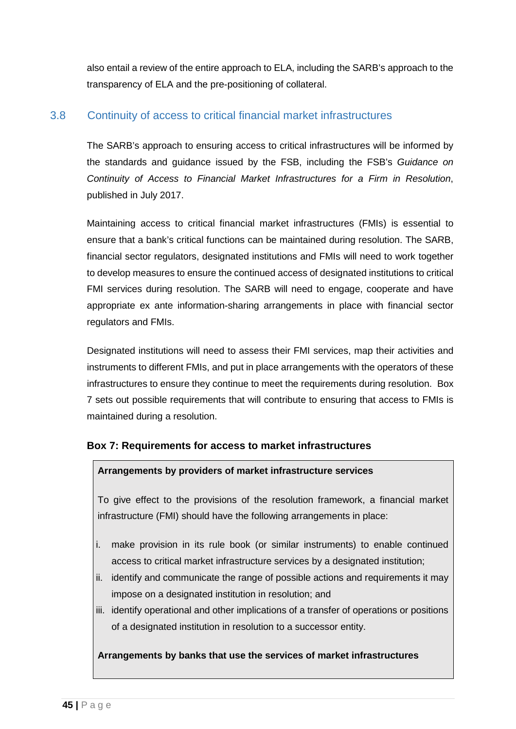also entail a review of the entire approach to ELA, including the SARB's approach to the transparency of ELA and the pre-positioning of collateral.

## <span id="page-44-0"></span>3.8 Continuity of access to critical financial market infrastructures

The SARB's approach to ensuring access to critical infrastructures will be informed by the standards and guidance issued by the FSB, including the FSB's *Guidance on Continuity of Access to Financial Market Infrastructures for a Firm in Resolution*, published in July 2017.

Maintaining access to critical financial market infrastructures (FMIs) is essential to ensure that a bank's critical functions can be maintained during resolution. The SARB, financial sector regulators, designated institutions and FMIs will need to work together to develop measures to ensure the continued access of designated institutions to critical FMI services during resolution. The SARB will need to engage, cooperate and have appropriate ex ante information-sharing arrangements in place with financial sector regulators and FMIs.

Designated institutions will need to assess their FMI services, map their activities and instruments to different FMIs, and put in place arrangements with the operators of these infrastructures to ensure they continue to meet the requirements during resolution. Box 7 sets out possible requirements that will contribute to ensuring that access to FMIs is maintained during a resolution.

#### **Box 7: Requirements for access to market infrastructures**

#### **Arrangements by providers of market infrastructure services**

To give effect to the provisions of the resolution framework, a financial market infrastructure (FMI) should have the following arrangements in place:

- i. make provision in its rule book (or similar instruments) to enable continued access to critical market infrastructure services by a designated institution;
- ii. identify and communicate the range of possible actions and requirements it may impose on a designated institution in resolution; and
- iii. identify operational and other implications of a transfer of operations or positions of a designated institution in resolution to a successor entity.

#### **Arrangements by banks that use the services of market infrastructures**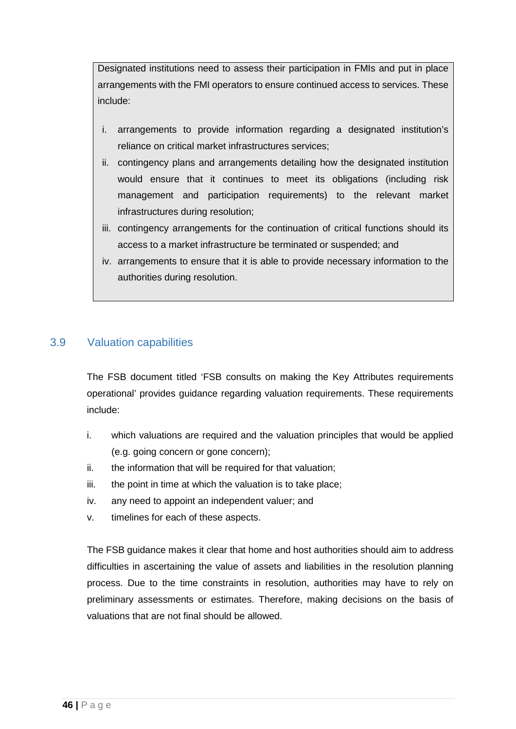Designated institutions need to assess their participation in FMIs and put in place arrangements with the FMI operators to ensure continued access to services. These include:

- i. arrangements to provide information regarding a designated institution's reliance on critical market infrastructures services;
- ii. contingency plans and arrangements detailing how the designated institution would ensure that it continues to meet its obligations (including risk management and participation requirements) to the relevant market infrastructures during resolution;
- iii. contingency arrangements for the continuation of critical functions should its access to a market infrastructure be terminated or suspended; and
- iv. arrangements to ensure that it is able to provide necessary information to the authorities during resolution.

## <span id="page-45-0"></span>3.9 Valuation capabilities

The FSB document titled 'FSB consults on making the Key Attributes requirements operational' provides guidance regarding valuation requirements. These requirements include:

- i. which valuations are required and the valuation principles that would be applied (e.g. going concern or gone concern);
- ii. the information that will be required for that valuation;
- iii. the point in time at which the valuation is to take place;
- iv. any need to appoint an independent valuer; and
- v. timelines for each of these aspects.

The FSB guidance makes it clear that home and host authorities should aim to address difficulties in ascertaining the value of assets and liabilities in the resolution planning process. Due to the time constraints in resolution, authorities may have to rely on preliminary assessments or estimates. Therefore, making decisions on the basis of valuations that are not final should be allowed.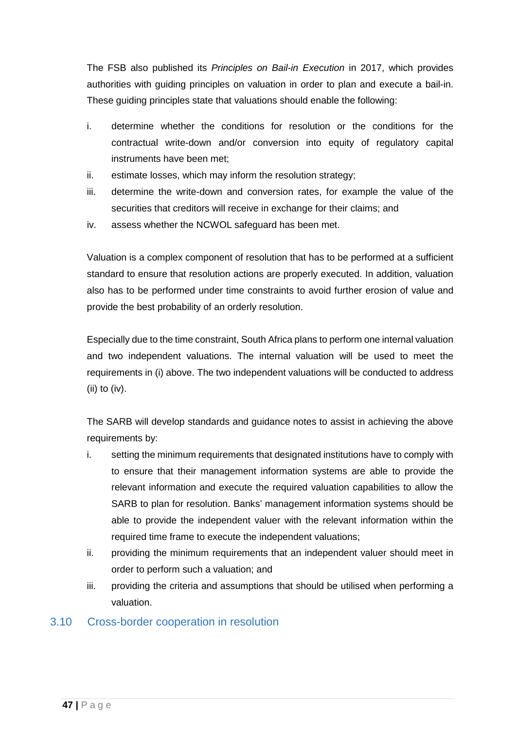The FSB also published its *Principles on Bail-in Execution* in 2017, which provides authorities with guiding principles on valuation in order to plan and execute a bail-in. These guiding principles state that valuations should enable the following:

- i. determine whether the conditions for resolution or the conditions for the contractual write-down and/or conversion into equity of regulatory capital instruments have been met;
- ii. estimate losses, which may inform the resolution strategy;
- iii. determine the write-down and conversion rates, for example the value of the securities that creditors will receive in exchange for their claims; and
- iv. assess whether the NCWOL safeguard has been met.

Valuation is a complex component of resolution that has to be performed at a sufficient standard to ensure that resolution actions are properly executed. In addition, valuation also has to be performed under time constraints to avoid further erosion of value and provide the best probability of an orderly resolution.

Especially due to the time constraint, South Africa plans to perform one internal valuation and two independent valuations. The internal valuation will be used to meet the requirements in (i) above. The two independent valuations will be conducted to address (ii) to (iv).

The SARB will develop standards and guidance notes to assist in achieving the above requirements by:

- i. setting the minimum requirements that designated institutions have to comply with to ensure that their management information systems are able to provide the relevant information and execute the required valuation capabilities to allow the SARB to plan for resolution. Banks' management information systems should be able to provide the independent valuer with the relevant information within the required time frame to execute the independent valuations;
- ii. providing the minimum requirements that an independent valuer should meet in order to perform such a valuation; and
- iii. providing the criteria and assumptions that should be utilised when performing a valuation.

## <span id="page-46-0"></span>3.10 Cross-border cooperation in resolution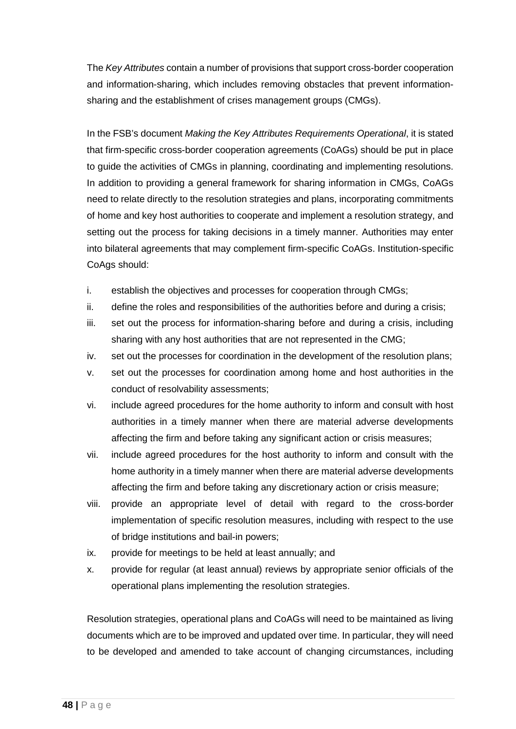The *Key Attributes* contain a number of provisions that support cross-border cooperation and information-sharing, which includes removing obstacles that prevent informationsharing and the establishment of crises management groups (CMGs).

In the FSB's document *Making the Key Attributes Requirements Operational*, it is stated that firm-specific cross-border cooperation agreements (CoAGs) should be put in place to guide the activities of CMGs in planning, coordinating and implementing resolutions. In addition to providing a general framework for sharing information in CMGs, CoAGs need to relate directly to the resolution strategies and plans, incorporating commitments of home and key host authorities to cooperate and implement a resolution strategy, and setting out the process for taking decisions in a timely manner. Authorities may enter into bilateral agreements that may complement firm-specific CoAGs. Institution-specific CoAgs should:

- i. establish the objectives and processes for cooperation through CMGs;
- ii. define the roles and responsibilities of the authorities before and during a crisis;
- iii. set out the process for information-sharing before and during a crisis, including sharing with any host authorities that are not represented in the CMG;
- iv. set out the processes for coordination in the development of the resolution plans;
- v. set out the processes for coordination among home and host authorities in the conduct of resolvability assessments;
- vi. include agreed procedures for the home authority to inform and consult with host authorities in a timely manner when there are material adverse developments affecting the firm and before taking any significant action or crisis measures;
- vii. include agreed procedures for the host authority to inform and consult with the home authority in a timely manner when there are material adverse developments affecting the firm and before taking any discretionary action or crisis measure;
- viii. provide an appropriate level of detail with regard to the cross-border implementation of specific resolution measures, including with respect to the use of bridge institutions and bail-in powers;
- ix. provide for meetings to be held at least annually; and
- x. provide for regular (at least annual) reviews by appropriate senior officials of the operational plans implementing the resolution strategies.

Resolution strategies, operational plans and CoAGs will need to be maintained as living documents which are to be improved and updated over time. In particular, they will need to be developed and amended to take account of changing circumstances, including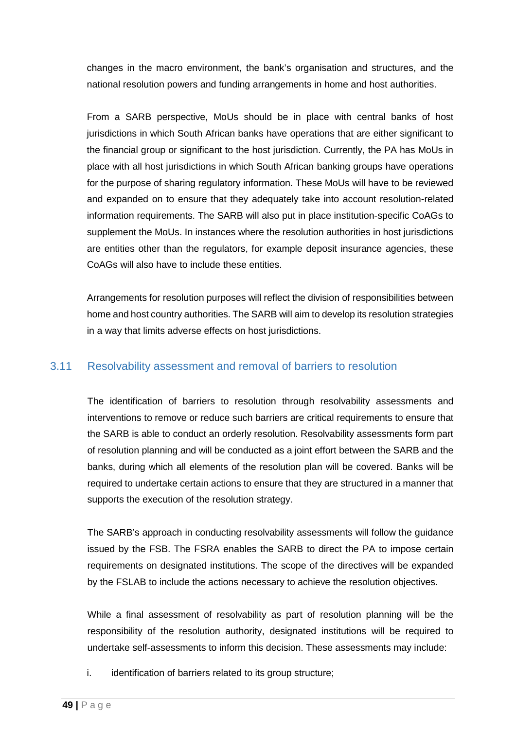changes in the macro environment, the bank's organisation and structures, and the national resolution powers and funding arrangements in home and host authorities.

From a SARB perspective, MoUs should be in place with central banks of host jurisdictions in which South African banks have operations that are either significant to the financial group or significant to the host jurisdiction. Currently, the PA has MoUs in place with all host jurisdictions in which South African banking groups have operations for the purpose of sharing regulatory information. These MoUs will have to be reviewed and expanded on to ensure that they adequately take into account resolution-related information requirements. The SARB will also put in place institution-specific CoAGs to supplement the MoUs. In instances where the resolution authorities in host jurisdictions are entities other than the regulators, for example deposit insurance agencies, these CoAGs will also have to include these entities.

Arrangements for resolution purposes will reflect the division of responsibilities between home and host country authorities. The SARB will aim to develop its resolution strategies in a way that limits adverse effects on host jurisdictions.

## <span id="page-48-0"></span>3.11 Resolvability assessment and removal of barriers to resolution

The identification of barriers to resolution through resolvability assessments and interventions to remove or reduce such barriers are critical requirements to ensure that the SARB is able to conduct an orderly resolution. Resolvability assessments form part of resolution planning and will be conducted as a joint effort between the SARB and the banks, during which all elements of the resolution plan will be covered. Banks will be required to undertake certain actions to ensure that they are structured in a manner that supports the execution of the resolution strategy.

The SARB's approach in conducting resolvability assessments will follow the guidance issued by the FSB. The FSRA enables the SARB to direct the PA to impose certain requirements on designated institutions. The scope of the directives will be expanded by the FSLAB to include the actions necessary to achieve the resolution objectives.

While a final assessment of resolvability as part of resolution planning will be the responsibility of the resolution authority, designated institutions will be required to undertake self-assessments to inform this decision. These assessments may include:

i. identification of barriers related to its group structure;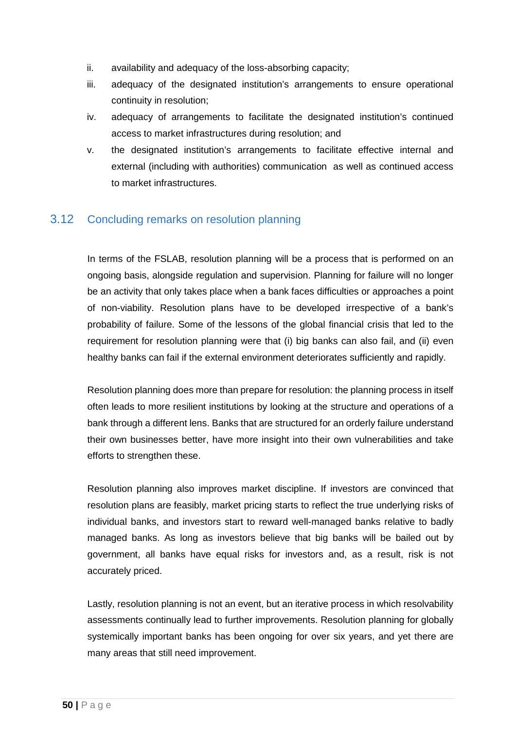- ii. availability and adequacy of the loss-absorbing capacity;
- iii. adequacy of the designated institution's arrangements to ensure operational continuity in resolution;
- iv. adequacy of arrangements to facilitate the designated institution's continued access to market infrastructures during resolution; and
- v. the designated institution's arrangements to facilitate effective internal and external (including with authorities) communication as well as continued access to market infrastructures.

## <span id="page-49-0"></span>3.12 Concluding remarks on resolution planning

In terms of the FSLAB, resolution planning will be a process that is performed on an ongoing basis, alongside regulation and supervision. Planning for failure will no longer be an activity that only takes place when a bank faces difficulties or approaches a point of non-viability. Resolution plans have to be developed irrespective of a bank's probability of failure. Some of the lessons of the global financial crisis that led to the requirement for resolution planning were that (i) big banks can also fail, and (ii) even healthy banks can fail if the external environment deteriorates sufficiently and rapidly.

Resolution planning does more than prepare for resolution: the planning process in itself often leads to more resilient institutions by looking at the structure and operations of a bank through a different lens. Banks that are structured for an orderly failure understand their own businesses better, have more insight into their own vulnerabilities and take efforts to strengthen these.

Resolution planning also improves market discipline. If investors are convinced that resolution plans are feasibly, market pricing starts to reflect the true underlying risks of individual banks, and investors start to reward well-managed banks relative to badly managed banks. As long as investors believe that big banks will be bailed out by government, all banks have equal risks for investors and, as a result, risk is not accurately priced.

Lastly, resolution planning is not an event, but an iterative process in which resolvability assessments continually lead to further improvements. Resolution planning for globally systemically important banks has been ongoing for over six years, and yet there are many areas that still need improvement.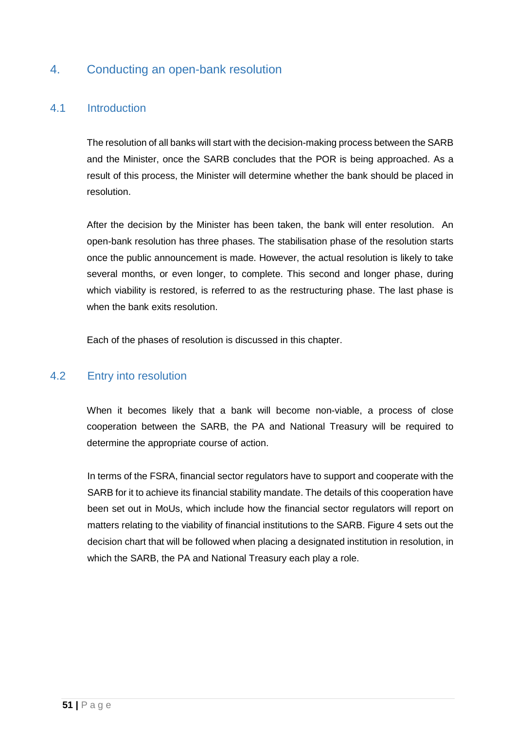## <span id="page-50-0"></span>4. Conducting an open-bank resolution

## <span id="page-50-1"></span>4.1 Introduction

The resolution of all banks will start with the decision-making process between the SARB and the Minister, once the SARB concludes that the POR is being approached. As a result of this process, the Minister will determine whether the bank should be placed in resolution.

After the decision by the Minister has been taken, the bank will enter resolution. An open-bank resolution has three phases. The stabilisation phase of the resolution starts once the public announcement is made. However, the actual resolution is likely to take several months, or even longer, to complete. This second and longer phase, during which viability is restored, is referred to as the restructuring phase. The last phase is when the bank exits resolution.

Each of the phases of resolution is discussed in this chapter.

## <span id="page-50-2"></span>4.2 Entry into resolution

When it becomes likely that a bank will become non-viable, a process of close cooperation between the SARB, the PA and National Treasury will be required to determine the appropriate course of action.

In terms of the FSRA, financial sector regulators have to support and cooperate with the SARB for it to achieve its financial stability mandate. The details of this cooperation have been set out in MoUs, which include how the financial sector regulators will report on matters relating to the viability of financial institutions to the SARB. Figure 4 sets out the decision chart that will be followed when placing a designated institution in resolution, in which the SARB, the PA and National Treasury each play a role.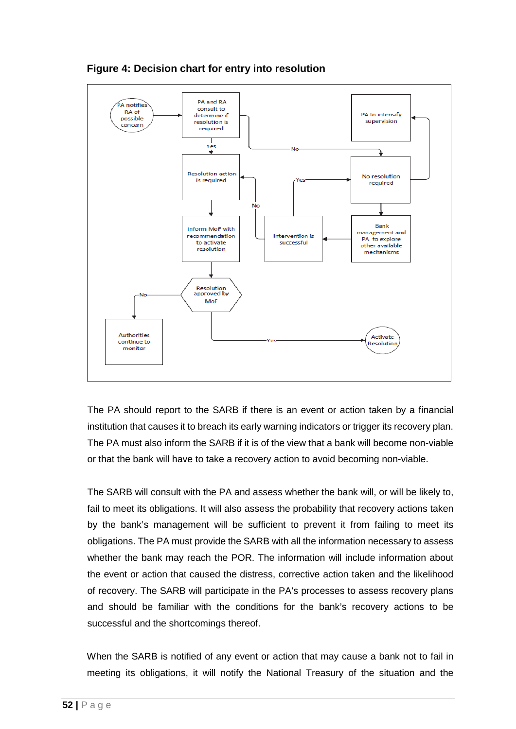

**Figure 4: Decision chart for entry into resolution**

The PA should report to the SARB if there is an event or action taken by a financial institution that causes it to breach its early warning indicators or trigger its recovery plan. The PA must also inform the SARB if it is of the view that a bank will become non-viable or that the bank will have to take a recovery action to avoid becoming non-viable.

The SARB will consult with the PA and assess whether the bank will, or will be likely to, fail to meet its obligations. It will also assess the probability that recovery actions taken by the bank's management will be sufficient to prevent it from failing to meet its obligations. The PA must provide the SARB with all the information necessary to assess whether the bank may reach the POR. The information will include information about the event or action that caused the distress, corrective action taken and the likelihood of recovery. The SARB will participate in the PA's processes to assess recovery plans and should be familiar with the conditions for the bank's recovery actions to be successful and the shortcomings thereof.

When the SARB is notified of any event or action that may cause a bank not to fail in meeting its obligations, it will notify the National Treasury of the situation and the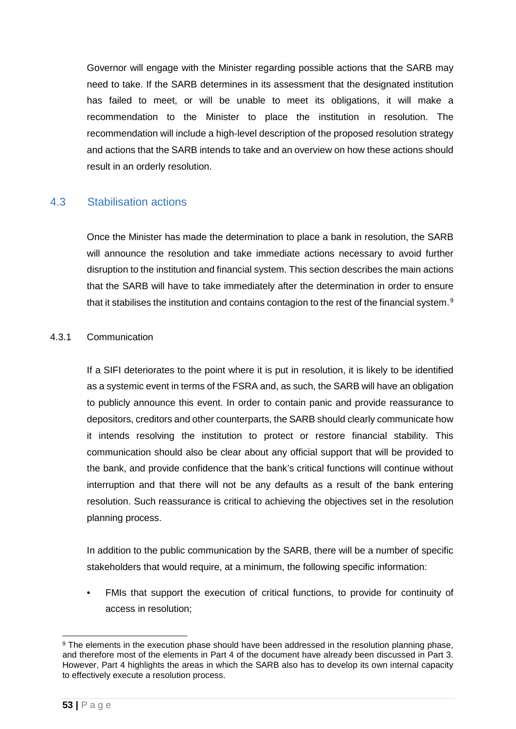Governor will engage with the Minister regarding possible actions that the SARB may need to take. If the SARB determines in its assessment that the designated institution has failed to meet, or will be unable to meet its obligations, it will make a recommendation to the Minister to place the institution in resolution. The recommendation will include a high-level description of the proposed resolution strategy and actions that the SARB intends to take and an overview on how these actions should result in an orderly resolution.

## <span id="page-52-0"></span>4.3 Stabilisation actions

Once the Minister has made the determination to place a bank in resolution, the SARB will announce the resolution and take immediate actions necessary to avoid further disruption to the institution and financial system. This section describes the main actions that the SARB will have to take immediately after the determination in order to ensure that it stabilises the institution and contains contagion to the rest of the financial system. $^{\rm g}$ 

#### <span id="page-52-1"></span>4.3.1 Communication

If a SIFI deteriorates to the point where it is put in resolution, it is likely to be identified as a systemic event in terms of the FSRA and, as such, the SARB will have an obligation to publicly announce this event. In order to contain panic and provide reassurance to depositors, creditors and other counterparts, the SARB should clearly communicate how it intends resolving the institution to protect or restore financial stability. This communication should also be clear about any official support that will be provided to the bank, and provide confidence that the bank's critical functions will continue without interruption and that there will not be any defaults as a result of the bank entering resolution. Such reassurance is critical to achieving the objectives set in the resolution planning process.

In addition to the public communication by the SARB, there will be a number of specific stakeholders that would require, at a minimum, the following specific information:

• FMIs that support the execution of critical functions, to provide for continuity of access in resolution;

<span id="page-52-2"></span><sup>&</sup>lt;sup>9</sup> The elements in the execution phase should have been addressed in the resolution planning phase, and therefore most of the elements in Part 4 of the document have already been discussed in Part 3. However, Part 4 highlights the areas in which the SARB also has to develop its own internal capacity to effectively execute a resolution process.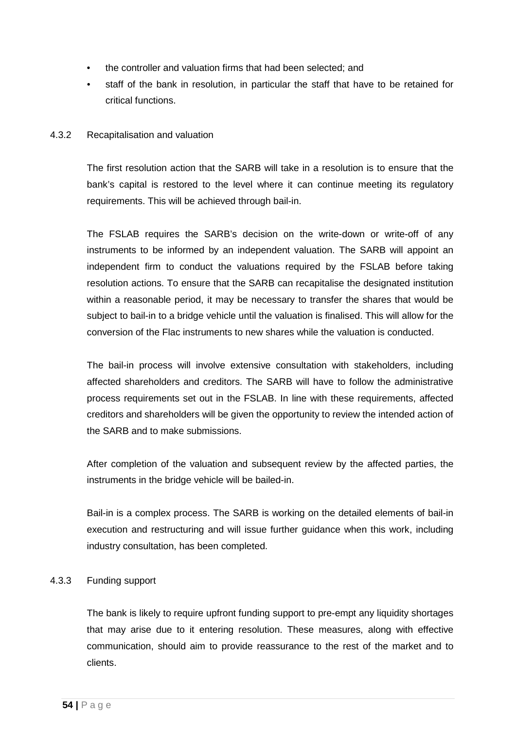- the controller and valuation firms that had been selected; and
- staff of the bank in resolution, in particular the staff that have to be retained for critical functions.

#### <span id="page-53-0"></span>4.3.2 Recapitalisation and valuation

The first resolution action that the SARB will take in a resolution is to ensure that the bank's capital is restored to the level where it can continue meeting its regulatory requirements. This will be achieved through bail-in.

The FSLAB requires the SARB's decision on the write-down or write-off of any instruments to be informed by an independent valuation. The SARB will appoint an independent firm to conduct the valuations required by the FSLAB before taking resolution actions. To ensure that the SARB can recapitalise the designated institution within a reasonable period, it may be necessary to transfer the shares that would be subject to bail-in to a bridge vehicle until the valuation is finalised. This will allow for the conversion of the Flac instruments to new shares while the valuation is conducted.

The bail-in process will involve extensive consultation with stakeholders, including affected shareholders and creditors. The SARB will have to follow the administrative process requirements set out in the FSLAB. In line with these requirements, affected creditors and shareholders will be given the opportunity to review the intended action of the SARB and to make submissions.

After completion of the valuation and subsequent review by the affected parties, the instruments in the bridge vehicle will be bailed-in.

Bail-in is a complex process. The SARB is working on the detailed elements of bail-in execution and restructuring and will issue further guidance when this work, including industry consultation, has been completed.

#### <span id="page-53-1"></span>4.3.3 Funding support

The bank is likely to require upfront funding support to pre-empt any liquidity shortages that may arise due to it entering resolution. These measures, along with effective communication, should aim to provide reassurance to the rest of the market and to clients.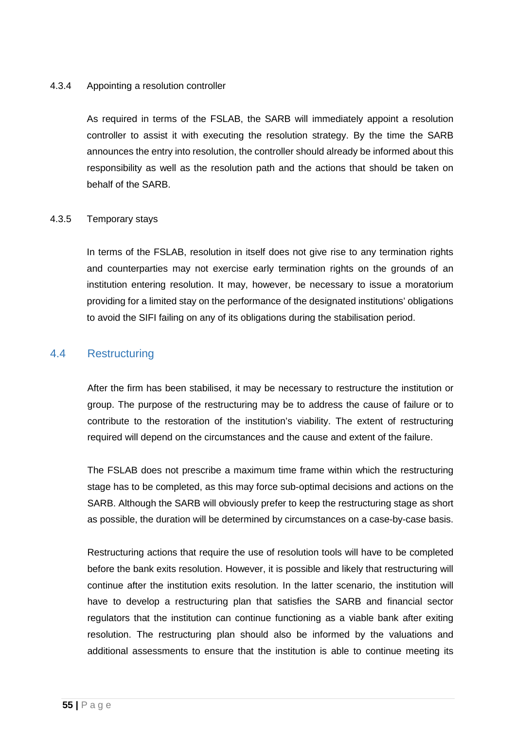#### <span id="page-54-0"></span>4.3.4 Appointing a resolution controller

As required in terms of the FSLAB, the SARB will immediately appoint a resolution controller to assist it with executing the resolution strategy. By the time the SARB announces the entry into resolution, the controller should already be informed about this responsibility as well as the resolution path and the actions that should be taken on behalf of the SARB.

#### <span id="page-54-1"></span>4.3.5 Temporary stays

In terms of the FSLAB, resolution in itself does not give rise to any termination rights and counterparties may not exercise early termination rights on the grounds of an institution entering resolution. It may, however, be necessary to issue a moratorium providing for a limited stay on the performance of the designated institutions' obligations to avoid the SIFI failing on any of its obligations during the stabilisation period.

#### <span id="page-54-2"></span>4.4 Restructuring

After the firm has been stabilised, it may be necessary to restructure the institution or group. The purpose of the restructuring may be to address the cause of failure or to contribute to the restoration of the institution's viability. The extent of restructuring required will depend on the circumstances and the cause and extent of the failure.

The FSLAB does not prescribe a maximum time frame within which the restructuring stage has to be completed, as this may force sub-optimal decisions and actions on the SARB. Although the SARB will obviously prefer to keep the restructuring stage as short as possible, the duration will be determined by circumstances on a case-by-case basis.

Restructuring actions that require the use of resolution tools will have to be completed before the bank exits resolution. However, it is possible and likely that restructuring will continue after the institution exits resolution. In the latter scenario, the institution will have to develop a restructuring plan that satisfies the SARB and financial sector regulators that the institution can continue functioning as a viable bank after exiting resolution. The restructuring plan should also be informed by the valuations and additional assessments to ensure that the institution is able to continue meeting its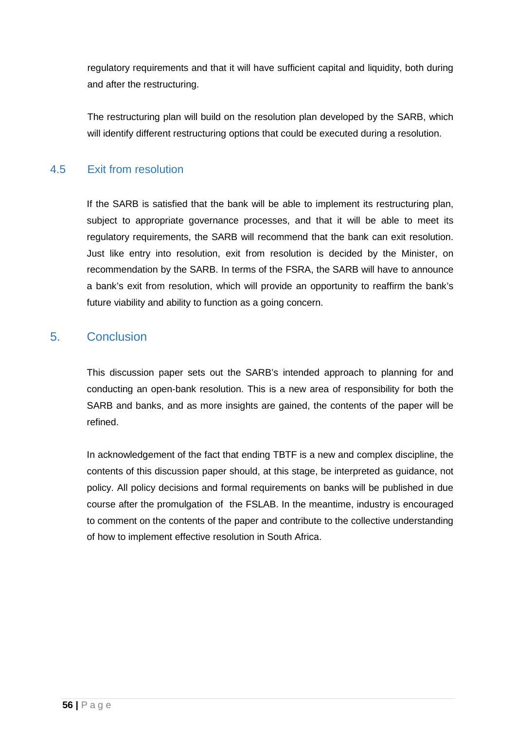regulatory requirements and that it will have sufficient capital and liquidity, both during and after the restructuring.

The restructuring plan will build on the resolution plan developed by the SARB, which will identify different restructuring options that could be executed during a resolution.

## <span id="page-55-0"></span>4.5 Exit from resolution

If the SARB is satisfied that the bank will be able to implement its restructuring plan, subject to appropriate governance processes, and that it will be able to meet its regulatory requirements, the SARB will recommend that the bank can exit resolution. Just like entry into resolution, exit from resolution is decided by the Minister, on recommendation by the SARB. In terms of the FSRA, the SARB will have to announce a bank's exit from resolution, which will provide an opportunity to reaffirm the bank's future viability and ability to function as a going concern.

## <span id="page-55-1"></span>5. Conclusion

This discussion paper sets out the SARB's intended approach to planning for and conducting an open-bank resolution. This is a new area of responsibility for both the SARB and banks, and as more insights are gained, the contents of the paper will be refined.

In acknowledgement of the fact that ending TBTF is a new and complex discipline, the contents of this discussion paper should, at this stage, be interpreted as guidance, not policy. All policy decisions and formal requirements on banks will be published in due course after the promulgation of the FSLAB. In the meantime, industry is encouraged to comment on the contents of the paper and contribute to the collective understanding of how to implement effective resolution in South Africa.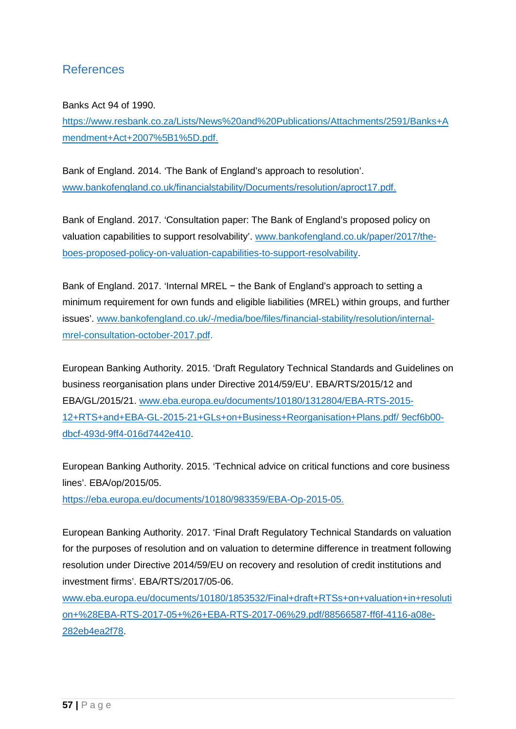## <span id="page-56-0"></span>References

Banks Act 94 of 1990.

[https://www.resbank.co.za/Lists/News%20and%20Publications/Attachments/2591/Banks+A](https://www.resbank.co.za/Lists/News%20and%20Publications/Attachments/2591/Banks+Amendment+Act+2007%5B1%5D.pdf) [mendment+Act+2007%5B1%5D.pdf.](https://www.resbank.co.za/Lists/News%20and%20Publications/Attachments/2591/Banks+Amendment+Act+2007%5B1%5D.pdf)

Bank of England. 2014. 'The Bank of England's approach to resolution'. [www.bankofengland.co.uk/financialstability/Documents/resolution/aproct17.pdf.](http://www.bankofengland.co.uk/financialstability/Documents/resolution/aproct17.pdf)

Bank of England. 2017. 'Consultation paper: The Bank of England's proposed policy on valuation capabilities to support resolvability'. [www.bankofengland.co.uk/paper/2017/the](http://www.bankofengland.co.uk/paper/2017/the-boes-proposed-policy-on-valuation-capabilities-to-support-resolvability)[boes-proposed-policy-on-valuation-capabilities-to-support-resolvability.](http://www.bankofengland.co.uk/paper/2017/the-boes-proposed-policy-on-valuation-capabilities-to-support-resolvability)

Bank of England. 2017. 'Internal MREL − the Bank of England's approach to setting a minimum requirement for own funds and eligible liabilities (MREL) within groups, and further issues'. [www.bankofengland.co.uk/-/media/boe/files/financial-stability/resolution/internal](http://www.bankofengland.co.uk/-/media/boe/files/financial-stability/resolution/internal-mrel-consultation-october-2017.pdf)[mrel-consultation-october-2017.pdf.](http://www.bankofengland.co.uk/-/media/boe/files/financial-stability/resolution/internal-mrel-consultation-october-2017.pdf)

European Banking Authority. 2015. 'Draft Regulatory Technical Standards and Guidelines on business reorganisation plans under Directive 2014/59/EU'. EBA/RTS/2015/12 and EBA/GL/2015/21. [www.eba.europa.eu/documents/10180/1312804/EBA-RTS-2015-](http://www.eba.europa.eu/documents/10180/1312804/EBA-RTS-2015-12+RTS+and+EBA-GL-2015-21+GLs+on+Business+Reorganisation+Plans.pdf/%209ecf6b00-dbcf-493d-9ff4-016d7442e410) [12+RTS+and+EBA-GL-2015-21+GLs+on+Business+Reorganisation+Plans.pdf/ 9ecf6b00](http://www.eba.europa.eu/documents/10180/1312804/EBA-RTS-2015-12+RTS+and+EBA-GL-2015-21+GLs+on+Business+Reorganisation+Plans.pdf/%209ecf6b00-dbcf-493d-9ff4-016d7442e410) [dbcf-493d-9ff4-016d7442e410.](http://www.eba.europa.eu/documents/10180/1312804/EBA-RTS-2015-12+RTS+and+EBA-GL-2015-21+GLs+on+Business+Reorganisation+Plans.pdf/%209ecf6b00-dbcf-493d-9ff4-016d7442e410)

European Banking Authority. 2015. 'Technical advice on critical functions and core business lines'. EBA/op/2015/05.

[https://eba.europa.eu/documents/10180/983359/EBA-Op-2015-05.](https://eba.europa.eu/documents/10180/983359/EBA-Op-2015-05)

European Banking Authority. 2017. 'Final Draft Regulatory Technical Standards on valuation for the purposes of resolution and on valuation to determine difference in treatment following resolution under Directive 2014/59/EU on recovery and resolution of credit institutions and investment firms'. EBA/RTS/2017/05-06.

[www.eba.europa.eu/documents/10180/1853532/Final+draft+RTSs+on+valuation+in+resoluti](http://www.eba.europa.eu/documents/10180/1853532/Final+draft+RTSs+on+valuation+in+resolution+%28EBA-RTS-2017-05+%26+EBA-RTS-2017-06%29.pdf/88566587-ff6f-4116-a08e-282eb4ea2f78) [on+%28EBA-RTS-2017-05+%26+EBA-RTS-2017-06%29.pdf/88566587-ff6f-4116-a08e-](http://www.eba.europa.eu/documents/10180/1853532/Final+draft+RTSs+on+valuation+in+resolution+%28EBA-RTS-2017-05+%26+EBA-RTS-2017-06%29.pdf/88566587-ff6f-4116-a08e-282eb4ea2f78)[282eb4ea2f78.](http://www.eba.europa.eu/documents/10180/1853532/Final+draft+RTSs+on+valuation+in+resolution+%28EBA-RTS-2017-05+%26+EBA-RTS-2017-06%29.pdf/88566587-ff6f-4116-a08e-282eb4ea2f78)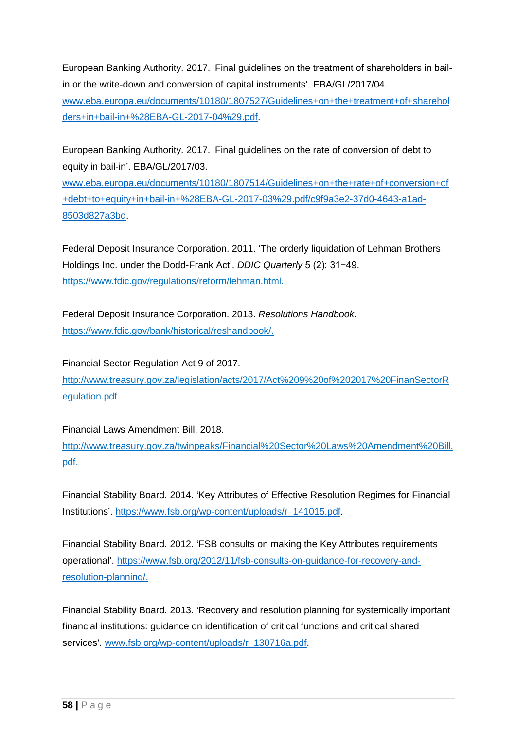European Banking Authority. 2017. 'Final guidelines on the treatment of shareholders in bailin or the write-down and conversion of capital instruments'. EBA/GL/2017/04. [www.eba.europa.eu/documents/10180/1807527/Guidelines+on+the+treatment+of+sharehol](http://www.eba.europa.eu/documents/10180/1807527/Guidelines+on+the+treatment+of+shareholders+in+bail-in+%28EBA-GL-2017-04%29.pdf) [ders+in+bail-in+%28EBA-GL-2017-04%29.pdf.](http://www.eba.europa.eu/documents/10180/1807527/Guidelines+on+the+treatment+of+shareholders+in+bail-in+%28EBA-GL-2017-04%29.pdf)

European Banking Authority. 2017. 'Final guidelines on the rate of conversion of debt to equity in bail-in'. EBA/GL/2017/03.

[www.eba.europa.eu/documents/10180/1807514/Guidelines+on+the+rate+of+conversion+of](http://www.eba.europa.eu/documents/10180/1807514/Guidelines+on+the+rate+of+conversion+of+debt+to+equity+in+bail-in+%28EBA-GL-2017-03%29.pdf/c9f9a3e2-37d0-4643-a1ad-8503d827a3bd) [+debt+to+equity+in+bail-in+%28EBA-GL-2017-03%29.pdf/c9f9a3e2-37d0-4643-a1ad-](http://www.eba.europa.eu/documents/10180/1807514/Guidelines+on+the+rate+of+conversion+of+debt+to+equity+in+bail-in+%28EBA-GL-2017-03%29.pdf/c9f9a3e2-37d0-4643-a1ad-8503d827a3bd)[8503d827a3bd.](http://www.eba.europa.eu/documents/10180/1807514/Guidelines+on+the+rate+of+conversion+of+debt+to+equity+in+bail-in+%28EBA-GL-2017-03%29.pdf/c9f9a3e2-37d0-4643-a1ad-8503d827a3bd)

Federal Deposit Insurance Corporation. 2011. 'The orderly liquidation of Lehman Brothers Holdings Inc. under the Dodd-Frank Act'. *DDIC Quarterly* 5 (2): 31−49. [https://www.fdic.gov/regulations/reform/lehman.html.](https://www.fdic.gov/regulations/reform/lehman.html)

Federal Deposit Insurance Corporation. 2013. *Resolutions Handbook.* [https://www.fdic.gov/bank/historical/reshandbook/.](https://www.fdic.gov/bank/historical/reshandbook/)

Financial Sector Regulation Act 9 of 2017.

[http://www.treasury.gov.za/legislation/acts/2017/Act%209%20of%202017%20FinanSectorR](http://www.treasury.gov.za/legislation/acts/2017/Act%209%20of%202017%20FinanSectorRegulation.pdf) [egulation.pdf.](http://www.treasury.gov.za/legislation/acts/2017/Act%209%20of%202017%20FinanSectorRegulation.pdf)

Financial Laws Amendment Bill, 2018.

[http://www.treasury.gov.za/twinpeaks/Financial%20Sector%20Laws%20Amendment%20Bill.](http://www.treasury.gov.za/twinpeaks/Financial%20Sector%20Laws%20Amendment%20Bill.pdf) [pdf.](http://www.treasury.gov.za/twinpeaks/Financial%20Sector%20Laws%20Amendment%20Bill.pdf)

Financial Stability Board. 2014. 'Key Attributes of Effective Resolution Regimes for Financial Institutions'. [https://www.fsb.org/wp-content/uploads/r\\_141015.pdf.](https://www.fsb.org/wp-content/uploads/r_141015.pdf)

Financial Stability Board. 2012. 'FSB consults on making the Key Attributes requirements operational'. [https://www.fsb.org/2012/11/fsb-consults-on-guidance-for-recovery-and](https://www.fsb.org/2012/11/fsb-consults-on-guidance-for-recovery-and-resolution-planning/)[resolution-planning/.](https://www.fsb.org/2012/11/fsb-consults-on-guidance-for-recovery-and-resolution-planning/)

Financial Stability Board. 2013. 'Recovery and resolution planning for systemically important financial institutions: guidance on identification of critical functions and critical shared services'. [www.fsb.org/wp-content/uploads/r\\_130716a.pdf.](http://www.fsb.org/wp-content/uploads/r_130716a.pdf)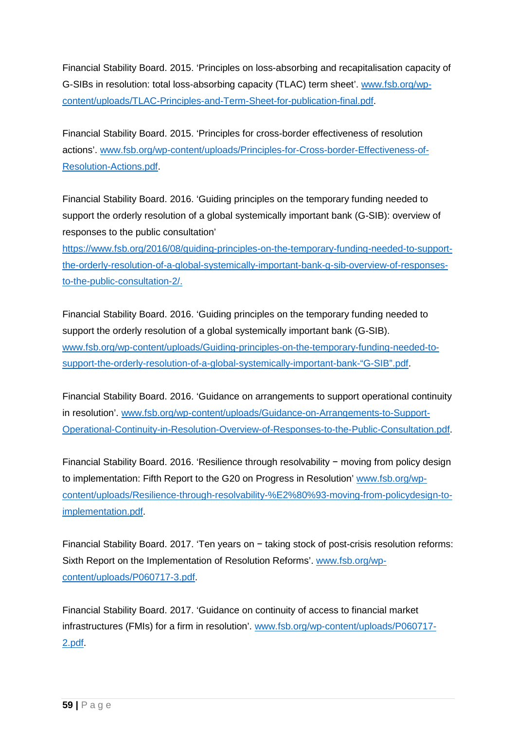Financial Stability Board. 2015. 'Principles on loss-absorbing and recapitalisation capacity of G-SIBs in resolution: total loss-absorbing capacity (TLAC) term sheet'. [www.fsb.org/wp](http://www.fsb.org/wp-content/uploads/TLAC-Principles-and-Term-Sheet-for-publication-final.pdf)[content/uploads/TLAC-Principles-and-Term-Sheet-for-publication-final.pdf.](http://www.fsb.org/wp-content/uploads/TLAC-Principles-and-Term-Sheet-for-publication-final.pdf)

Financial Stability Board. 2015. 'Principles for cross-border effectiveness of resolution actions'. [www.fsb.org/wp-content/uploads/Principles-for-Cross-border-Effectiveness-of-](http://www.fsb.org/wp-content/uploads/Principles-for-Cross-border-Effectiveness-of-Resolution-Actions.pdf)[Resolution-Actions.pdf.](http://www.fsb.org/wp-content/uploads/Principles-for-Cross-border-Effectiveness-of-Resolution-Actions.pdf)

Financial Stability Board. 2016. 'Guiding principles on the temporary funding needed to support the orderly resolution of a global systemically important bank (G-SIB): overview of responses to the public consultation'

[https://www.fsb.org/2016/08/guiding-principles-on-the-temporary-funding-needed-to-support](https://www.fsb.org/2016/08/guiding-principles-on-the-temporary-funding-needed-to-support-the-orderly-resolution-of-a-global-systemically-important-bank-g-sib-overview-of-responses-to-the-public-consultation-2/)[the-orderly-resolution-of-a-global-systemically-important-bank-g-sib-overview-of-responses](https://www.fsb.org/2016/08/guiding-principles-on-the-temporary-funding-needed-to-support-the-orderly-resolution-of-a-global-systemically-important-bank-g-sib-overview-of-responses-to-the-public-consultation-2/)[to-the-public-consultation-2/.](https://www.fsb.org/2016/08/guiding-principles-on-the-temporary-funding-needed-to-support-the-orderly-resolution-of-a-global-systemically-important-bank-g-sib-overview-of-responses-to-the-public-consultation-2/)

Financial Stability Board. 2016. 'Guiding principles on the temporary funding needed to support the orderly resolution of a global systemically important bank (G-SIB). [www.fsb.org/wp-content/uploads/Guiding-principles-on-the-temporary-funding-needed-to](http://www.fsb.org/wp-content/uploads/Guiding-principles-on-the-temporary-funding-needed-to-support-the-orderly-resolution-of-a-global-systemically-important-bank-)[support-the-orderly-resolution-of-a-global-systemically-important-bank-"G-SIB".pdf.](http://www.fsb.org/wp-content/uploads/Guiding-principles-on-the-temporary-funding-needed-to-support-the-orderly-resolution-of-a-global-systemically-important-bank-)

Financial Stability Board. 2016. 'Guidance on arrangements to support operational continuity in resolution'. [www.fsb.org/wp-content/uploads/Guidance-on-Arrangements-to-Support-](http://www.fsb.org/wp-content/uploads/Guidance-on-Arrangements-to-Support-Operational-Continuity-in-Resolution-Overview-of-Responses-to-the-Public-Consultation.pdf)[Operational-Continuity-in-Resolution-Overview-of-Responses-to-the-Public-Consultation.pdf.](http://www.fsb.org/wp-content/uploads/Guidance-on-Arrangements-to-Support-Operational-Continuity-in-Resolution-Overview-of-Responses-to-the-Public-Consultation.pdf)

Financial Stability Board. 2016. 'Resilience through resolvability − moving from policy design to implementation: Fifth Report to the G20 on Progress in Resolution' [www.fsb.org/wp](http://www.fsb.org/wp-content/uploads/Resilience-through-resolvability-%E2%80%93-moving-from-policydesign-to-implementation.pdf)[content/uploads/Resilience-through-resolvability-%E2%80%93-moving-from-policydesign-to](http://www.fsb.org/wp-content/uploads/Resilience-through-resolvability-%E2%80%93-moving-from-policydesign-to-implementation.pdf)[implementation.pdf.](http://www.fsb.org/wp-content/uploads/Resilience-through-resolvability-%E2%80%93-moving-from-policydesign-to-implementation.pdf)

Financial Stability Board. 2017. 'Ten years on − taking stock of post-crisis resolution reforms: Sixth Report on the Implementation of Resolution Reforms'. [www.fsb.org/wp](http://www.fsb.org/wp-content/uploads/P060717-3.pdf)[content/uploads/P060717-3.pdf.](http://www.fsb.org/wp-content/uploads/P060717-3.pdf)

Financial Stability Board. 2017. 'Guidance on continuity of access to financial market infrastructures (FMIs) for a firm in resolution'. [www.fsb.org/wp-content/uploads/P060717-](http://www.fsb.org/wp-content/uploads/P060717-2.pdf) [2.pdf.](http://www.fsb.org/wp-content/uploads/P060717-2.pdf)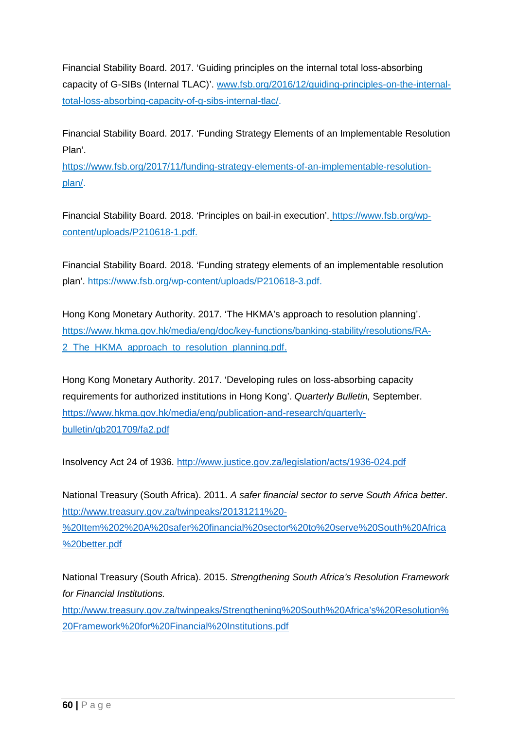Financial Stability Board. 2017. 'Guiding principles on the internal total loss-absorbing capacity of G-SIBs (Internal TLAC)'. [www.fsb.org/2016/12/guiding-principles-on-the-internal](http://www.fsb.org/2016/12/guiding-principles-on-the-internal-total-loss-absorbing-capacity-of-g-sibs-internal-tlac/)[total-loss-absorbing-capacity-of-g-sibs-internal-tlac/.](http://www.fsb.org/2016/12/guiding-principles-on-the-internal-total-loss-absorbing-capacity-of-g-sibs-internal-tlac/)

Financial Stability Board. 2017. 'Funding Strategy Elements of an Implementable Resolution Plan'.

[https://www.fsb.org/2017/11/funding-strategy-elements-of-an-implementable-resolution](https://www.fsb.org/2017/11/funding-strategy-elements-of-an-implementable-resolution-plan/)[plan/.](https://www.fsb.org/2017/11/funding-strategy-elements-of-an-implementable-resolution-plan/)

Financial Stability Board. 2018. 'Principles on bail-in execution'. [https://www.fsb.org/wp](https://www.fsb.org/wp-content/uploads/P210618-1.pdf)[content/uploads/P210618-1.pdf.](https://www.fsb.org/wp-content/uploads/P210618-1.pdf)

Financial Stability Board. 2018. 'Funding strategy elements of an implementable resolution plan'. [https://www.fsb.org/wp-content/uploads/P210618-3.pdf.](https://www.fsb.org/wp-content/uploads/P210618-3.pdf)

Hong Kong Monetary Authority. 2017. 'The HKMA's approach to resolution planning'. [https://www.hkma.gov.hk/media/eng/doc/key-functions/banking-stability/resolutions/RA-](https://www.hkma.gov.hk/media/eng/doc/key-functions/banking-stability/resolutions/RA-2_The_HKMA_approach_to_resolution_planning.pdf)2 The HKMA approach to resolution planning.pdf.

Hong Kong Monetary Authority. 2017. 'Developing rules on loss-absorbing capacity requirements for authorized institutions in Hong Kong'. *Quarterly Bulletin,* September. [https://www.hkma.gov.hk/media/eng/publication-and-research/quarterly](https://www.hkma.gov.hk/media/eng/publication-and-research/quarterly-bulletin/qb201709/fa2.pdf)[bulletin/qb201709/fa2.pdf](https://www.hkma.gov.hk/media/eng/publication-and-research/quarterly-bulletin/qb201709/fa2.pdf)

Insolvency Act 24 of 1936. <http://www.justice.gov.za/legislation/acts/1936-024.pdf>

National Treasury (South Africa). 2011. *A safer financial sector to serve South Africa better*. [http://www.treasury.gov.za/twinpeaks/20131211%20-](http://www.treasury.gov.za/twinpeaks/20131211%20-%20Item%202%20A%20safer%20financial%20sector%20to%20serve%20South%20Africa%20better.pdf) [%20Item%202%20A%20safer%20financial%20sector%20to%20serve%20South%20Africa](http://www.treasury.gov.za/twinpeaks/20131211%20-%20Item%202%20A%20safer%20financial%20sector%20to%20serve%20South%20Africa%20better.pdf) [%20better.pdf](http://www.treasury.gov.za/twinpeaks/20131211%20-%20Item%202%20A%20safer%20financial%20sector%20to%20serve%20South%20Africa%20better.pdf)

National Treasury (South Africa). 2015. *Strengthening South Africa's Resolution Framework for Financial Institutions.* [http://www.treasury.gov.za/twinpeaks/Strengthening%20South%20Africa's%20Resolution%](http://www.treasury.gov.za/twinpeaks/Strengthening%20South%20Africa%E2%80%99s%20Resolution%20Framework%20for%20Financial%20Institutions.pdf) [20Framework%20for%20Financial%20Institutions.pdf](http://www.treasury.gov.za/twinpeaks/Strengthening%20South%20Africa%E2%80%99s%20Resolution%20Framework%20for%20Financial%20Institutions.pdf)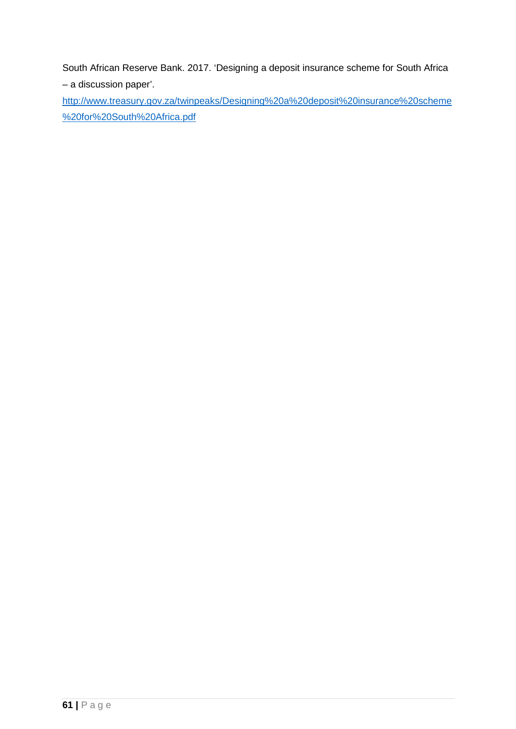South African Reserve Bank. 2017. 'Designing a deposit insurance scheme for South Africa – a discussion paper'.

[http://www.treasury.gov.za/twinpeaks/Designing%20a%20deposit%20insurance%20scheme](http://www.treasury.gov.za/twinpeaks/Designing%20a%20deposit%20insurance%20scheme%20for%20South%20Africa.pdf) [%20for%20South%20Africa.pdf](http://www.treasury.gov.za/twinpeaks/Designing%20a%20deposit%20insurance%20scheme%20for%20South%20Africa.pdf)